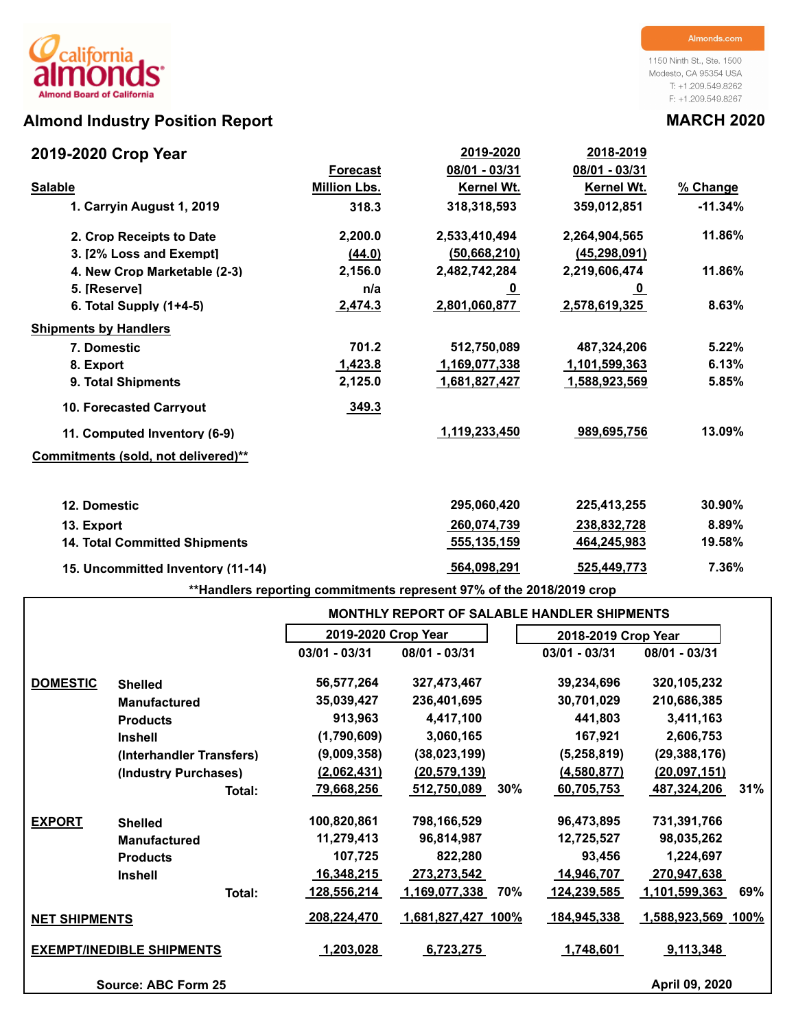## **Almond Industry Position Report MARCH 2020**

## **2019-2020 Crop Year**

1150 Ninth St., Ste. 1500 Modesto, CA 95354 USA T: +1.209.549.8262 F: +1.209.549.8267

| 2019-2020 Crop Year                  |                     | 2019-2020      | 2018-2019      |           |
|--------------------------------------|---------------------|----------------|----------------|-----------|
|                                      | <b>Forecast</b>     | 08/01 - 03/31  | 08/01 - 03/31  |           |
| <b>Salable</b>                       | <b>Million Lbs.</b> | Kernel Wt.     | Kernel Wt.     | % Change  |
| 1. Carryin August 1, 2019            | 318.3               | 318,318,593    | 359,012,851    | $-11.34%$ |
| 2. Crop Receipts to Date             | 2,200.0             | 2,533,410,494  | 2,264,904,565  | 11.86%    |
| 3. [2% Loss and Exempt]              | (44.0)              | (50, 668, 210) | (45, 298, 091) |           |
| 4. New Crop Marketable (2-3)         | 2,156.0             | 2,482,742,284  | 2,219,606,474  | 11.86%    |
| 5. [Reserve]                         | n/a                 | <u>_0</u>      | <u>_0</u>      |           |
| 6. Total Supply $(1+4-5)$            | 2,474.3             | 2,801,060,877  | 2,578,619,325  | 8.63%     |
| <b>Shipments by Handlers</b>         |                     |                |                |           |
| 7. Domestic                          | 701.2               | 512,750,089    | 487,324,206    | 5.22%     |
| 8. Export                            | 1,423.8             | 1,169,077,338  | 1,101,599,363  | 6.13%     |
| 9. Total Shipments                   | 2,125.0             | 1,681,827,427  | 1,588,923,569  | 5.85%     |
| <b>10. Forecasted Carryout</b>       | 349.3               |                |                |           |
| 11. Computed Inventory (6-9)         |                     | 1,119,233,450  | 989,695,756    | 13.09%    |
| Commitments (sold, not delivered)**  |                     |                |                |           |
| 12. Domestic                         |                     | 295,060,420    | 225,413,255    | 30.90%    |
| 13. Export                           |                     | 260,074,739    | 238,832,728    | 8.89%     |
| <b>14. Total Committed Shipments</b> |                     | 555,135,159    | 464,245,983    | 19.58%    |
| 15. Uncommitted Inventory (11-14)    |                     | 564,098,291    | 525,449,773    | 7.36%     |

**\*\*Handlers reporting commitments represent 97% of the 2018/2019 crop**

|                      |                                  |                     |                      |     | <b>MONTHLY REPORT OF SALABLE HANDLER SHIPMENTS</b> |                      |     |
|----------------------|----------------------------------|---------------------|----------------------|-----|----------------------------------------------------|----------------------|-----|
|                      |                                  | 2019-2020 Crop Year |                      |     | 2018-2019 Crop Year                                |                      |     |
|                      |                                  | $03/01 - 03/31$     | 08/01 - 03/31        |     | $03/01 - 03/31$                                    | 08/01 - 03/31        |     |
| <b>DOMESTIC</b>      | <b>Shelled</b>                   | 56,577,264          | 327,473,467          |     | 39,234,696                                         | 320, 105, 232        |     |
|                      | <b>Manufactured</b>              | 35,039,427          | 236,401,695          |     | 30,701,029                                         | 210,686,385          |     |
|                      | <b>Products</b>                  | 913,963             | 4,417,100            |     | 441,803                                            | 3,411,163            |     |
|                      | <b>Inshell</b>                   | (1,790,609)         | 3,060,165            |     | 167,921                                            | 2,606,753            |     |
|                      | (Interhandler Transfers)         | (9,009,358)         | (38,023,199)         |     | (5, 258, 819)                                      | (29, 388, 176)       |     |
|                      | (Industry Purchases)             | (2,062,431)         | (20, 579, 139)       |     | (4,580,877)                                        | (20,097,151)         |     |
|                      | Total:                           | <u>79,668,256</u>   | <u>512,750,089</u>   | 30% | 60,705,753                                         | <u>487,324,206</u>   | 31% |
| <b>EXPORT</b>        | <b>Shelled</b>                   | 100,820,861         | 798,166,529          |     | 96,473,895                                         | 731,391,766          |     |
|                      | <b>Manufactured</b>              | 11,279,413          | 96,814,987           |     | 12,725,527                                         | 98,035,262           |     |
|                      | <b>Products</b>                  | 107,725             | 822,280              |     | 93,456                                             | 1,224,697            |     |
|                      | <b>Inshell</b>                   | 16,348,215          | 273,273,542          |     | 14,946,707                                         | <u>.270,947,638 </u> |     |
|                      | Total:                           | <u>128,556,214</u>  | <u>1,169,077,338</u> | 70% | 124,239,585                                        | <u>1,101,599,363</u> | 69% |
| <b>NET SHIPMENTS</b> |                                  | 208,224,470         | 1,681,827,427 100%   |     | 184,945,338                                        | 1,588,923,569 100%   |     |
|                      | <b>EXEMPT/INEDIBLE SHIPMENTS</b> | 1,203,028           | 6,723,275            |     | 1,748,601                                          | 9,113,348            |     |
|                      | Source: ABC Form 25              |                     |                      |     |                                                    | April 09, 2020       |     |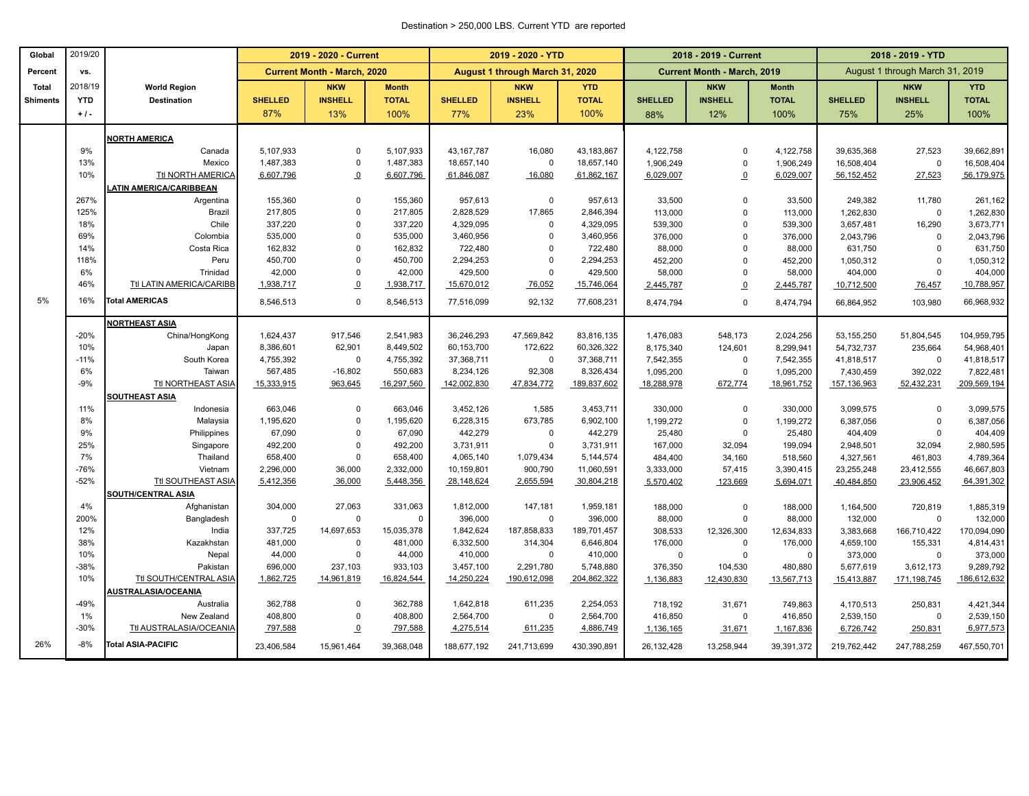### Destination > 250,000 LBS. Current YTD are reported

| August 1 through March 31, 2020<br>August 1 through March 31, 2019<br><b>Current Month - March, 2020</b><br><b>Current Month - March, 2019</b><br>Percent<br>vs.<br>2018/19<br><b>Total</b><br><b>NKW</b><br><b>Month</b><br><b>NKW</b><br><b>YTD</b><br><b>NKW</b><br><b>NKW</b><br><b>YTD</b><br><b>World Region</b><br><b>Month</b><br><b>YTD</b><br><b>SHELLED</b><br><b>INSHELL</b><br><b>TOTAL</b><br><b>SHELLED</b><br><b>INSHELL</b><br><b>TOTAL</b><br><b>SHELLED</b><br><b>INSHELL</b><br><b>TOTAL</b><br><b>SHELLED</b><br><b>INSHELL</b><br><b>TOTAL</b><br><b>Destination</b><br><b>Shiments</b><br>87%<br>13%<br>100%<br>77%<br>23%<br>100%<br>12%<br>100%<br>25%<br>100%<br>$+1$ .<br>88%<br>75%<br><b>NORTH AMERICA</b><br>9%<br>5,107,933<br>5,107,933<br>43, 167, 787<br>16,080<br>43,183,867<br>4,122,758<br>4,122,758<br>39,635,368<br>27,523<br>Canada<br>$\mathbf 0$<br>0<br>13%<br>$\mathbf 0$<br>Mexico<br>1,487,383<br>1,487,383<br>18,657,140<br>$\mathsf 0$<br>18,657,140<br>1,906,249<br>$\mathbf 0$<br>16,508,404<br>$\mathbf 0$<br>1,906,249<br>10%<br><b>Ttl NORTH AMERICA</b><br>6,607,796<br>$\Omega$<br>6,607,796<br>61,846,087<br>16,080<br>61,862,167<br>6,029,007<br>6,029,007<br>56,152,452<br>27,523<br>$\Omega$<br><b>ATIN AMERICA/CARIBBEAN</b><br>267%<br>155,360<br>$\mathbf 0$<br>155,360<br>957,613<br>$\mathbf 0$<br>957,613<br>33,500<br>11,780<br>Argentina<br>$\mathbf 0$<br>33,500<br>249,382<br>17,865<br>125%<br>217,805<br>$\Omega$<br>217,805<br>2,828,529<br>Brazil<br>2,846,394<br>113,000<br>$\mathbf 0$<br>1,262,830<br>$\mathbf 0$<br>113,000<br>$\Omega$<br>18%<br>Chile<br>337,220<br>337,220<br>4,329,095<br>$\mathbf 0$<br>4,329,095<br>539,300<br>$\Omega$<br>539,300<br>3,657,481<br>16,290<br>69%<br>535,000<br>535,000<br>$\Omega$<br>3,460,956<br>$\Omega$<br>3,460,956<br>Colombia<br>376,000<br>$\mathbf 0$<br>2,043,796<br>$\mathbf 0$<br>376,000<br>14%<br>162,832<br>$\overline{0}$<br>162,832<br>722,480<br>Costa Rica<br>722,480<br>88,000<br>$\Omega$<br>$\Omega$<br>88,000<br>631,750<br>$\mathbf 0$<br>118%<br>450,700<br>$\mathbf 0$<br>450,700<br>2,294,253<br>2,294,253<br>452,200<br>$\Omega$<br>452,200<br>1,050,312<br>$\mathbf 0$<br>Peru<br>$\Omega$<br>6%<br>42,000<br>$\mathbf 0$<br>42,000<br>429,500<br>$\mathbf 0$<br>429,500<br>Trinidad<br>58,000<br>$\mathbf 0$<br>58,000<br>404,000<br>$\overline{0}$<br>46%<br>Ttl LATIN AMERICA/CARIBB<br>1,938,717<br>$\Omega$<br>1,938,717<br>15,670,012<br>76,052<br>15,746,064<br>2,445,787<br>$\overline{0}$<br>2,445,787<br>10,712,500<br>76,457<br>5%<br><b>Total AMERICAS</b><br>16%<br>8,546,513<br>$\mathbf 0$<br>92,132<br>8,546,513<br>77,516,099<br>77,608,231<br>8,474,794<br>$\mathbf 0$<br>8,474,794<br>66,864,952<br>103,980<br><b>NORTHEAST ASIA</b><br>917,546<br>47,569,842<br>548,173<br>$-20%$<br>China/HongKong<br>1,624,437<br>2,541,983<br>36,246,293<br>83,816,135<br>1,476,083<br>2,024,256<br>53,155,250<br>51,804,545<br>10%<br>172,622<br>8,386,601<br>62,901<br>8,449,502<br>60,153,700<br>60,326,322<br>124,601<br>8,175,340<br>8,299,941<br>54,732,737<br>235,664<br>Japan<br>$-11%$<br>$\mathsf 0$<br>South Korea<br>4,755,392<br>$\mathbf 0$<br>4,755,392<br>37,368,711<br>37,368,711<br>7,542,355<br>$\mathbf 0$<br>7,542,355<br>41,818,517<br>$\mathbf 0$<br>6%<br>567,485<br>$-16,802$<br>550,683<br>8,234,126<br>92,308<br>8,326,434<br>1,095,200<br>$\mathbf 0$<br>1,095,200<br>7,430,459<br>392,022<br>Taiwan<br>$-9%$<br>Ttl NORTHEAST ASIA<br>15,333,915<br>16,297,560<br>142,002,830<br>47,834,772<br>189,837,602<br>52,432,231<br>963,645<br>18,288,978<br>672,774<br>18,961,752<br>157,136,963<br>SOUTHEAST ASIA<br>663,046<br>$\mathbf 0$<br>663,046<br>3,452,126<br>1,585<br>3,453,711<br>11%<br>330,000<br>330,000<br>3,099,575<br>Indonesia<br>$\Omega$<br>$\overline{0}$<br>8%<br>1,195,620<br>$\mathbf 0$<br>1,195,620<br>6,228,315<br>673,785<br>6,902,100<br>1,199,272<br>$\mathbf 0$<br>6,387,056<br>Malaysia<br>1,199,272<br>$\overline{0}$<br>9%<br>Philippines<br>67,090<br>$\mathbf 0$<br>67,090<br>442,279<br>$\mathbf 0$<br>442,279<br>25,480<br>$\mathbf 0$<br>25,480<br>404,409<br>$\mathbf 0$<br>25%<br>492,200<br>$\mathbf 0$<br>492,200<br>3,731,911<br>$\mathbf 0$<br>3,731,911<br>167,000<br>2,948,501<br>Singapore<br>32,094<br>199,094<br>32,094<br>7%<br>658,400<br>$\mathbf 0$<br>658,400<br>Thailand<br>4,065,140<br>1,079,434<br>5,144,574<br>484,400<br>34,160<br>518,560<br>4,327,561<br>461,803<br>4,789,364<br>$-76%$<br>2,296,000<br>36,000<br>2,332,000<br>900,790<br>3,333,000<br>57,415<br>23,255,248<br>Vietnam<br>10,159,801<br>11,060,591<br>3,390,415<br>23,412,555<br>46,667,803<br>$-52%$<br>Ttl SOUTHEAST ASIA<br>5,412,356<br>36,000<br>5,448,356<br>2,655,594<br>30,804,218<br>64,391,302<br>28,148,624<br>5,570,402<br>123,669<br>5,694,071<br>40,484,850<br>23,906,452<br><b>SOUTH/CENTRAL ASIA</b><br>4%<br>304,000<br>27,063<br>331,063<br>147,181<br>1,959,181<br>188,000<br>$\mathbf 0$<br>188,000<br>1,164,500<br>720,819<br>1,885,319<br>Afghanistan<br>1,812,000<br>$\mathbf 0$<br>$\mathsf 0$<br>200%<br>Bangladesh<br>$\mathbf 0$<br>396,000<br>$\mathbf 0$<br>396,000<br>88,000<br>132,000<br>$\mathbf 0$<br>132,000<br>$\mathbf 0$<br>88,000<br>12%<br>India<br>337,725<br>14,697,653<br>15,035,378<br>1,842,624<br>187,858,833<br>189,701,457<br>308,533<br>170,094,090<br>12,326,300<br>12,634,833<br>3,383,668<br>166,710,422<br>38%<br>481,000<br>$\mathbf 0$<br>481,000<br>314,304<br>176,000<br>$\mathbf 0$<br>4,659,100<br>155,331<br>4,814,431<br>Kazakhstan<br>6,332,500<br>6,646,804<br>176,000<br>10%<br>44,000<br>$\mathbf 0$<br>44,000<br>410,000<br>$\mathbf 0$<br>410,000<br>373,000<br>$\mathbf 0$<br>$\mathbf 0$<br>373,000<br>$\mathbf 0$<br>Nepal<br>0<br>$-38%$<br>696,000<br>933,103<br>2,291,780<br>Pakistan<br>237,103<br>3,457,100<br>5,748,880<br>376,350<br>104,530<br>480,880<br>5,677,619<br>3,612,173<br>9,289,792<br>10%<br>Ttl SOUTH/CENTRAL ASIA<br>1,862,725<br>14,961,819<br>16,824,544<br>14,250,224<br>190,612,098<br>204,862,322<br>1,136,883<br>12,430,830<br>15,413,887<br>171,198,745<br>186,612,632<br>13,567,713<br>AUSTRALASIA/OCEANIA<br>$-49%$<br>362,788<br>$\mathbf 0$<br>362,788<br>611,235<br>1,642,818<br>2,254,053<br>Australia<br>718,192<br>31,671<br>749,863<br>4,170,513<br>250,831<br>4,421,344<br>1%<br>New Zealand<br>408,800<br>$\mathbf 0$<br>408,800<br>2,564,700<br>$\mathsf 0$<br>2,564,700<br>416,850<br>$\mathsf 0$<br>416,850<br>2,539,150<br>$\mathbf 0$<br>$-30%$<br>Ttl AUSTRALASIA/OCEANIA<br>797,588<br>797,588<br>4,275,514<br>611,235<br>4,886,749<br>$\overline{0}$<br>1,136,165<br>31,671<br>1,167,836<br>6,726,742<br>250,831<br>26%<br>$-8%$<br><b>Total ASIA-PACIFIC</b><br>23,406,584<br>39,368,048<br>188,677,192<br>241,713,699<br>430,390,891<br>15,961,464<br>26,132,428<br>13,258,944<br>39,391,372<br>219,762,442<br>247,788,259 | Global | 2019/20 | 2019 - 2020 - Current |  |  | 2019 - 2020 - YTD |  | 2018 - 2019 - Current | 2018 - 2019 - YTD |  |             |  |
|----------------------------------------------------------------------------------------------------------------------------------------------------------------------------------------------------------------------------------------------------------------------------------------------------------------------------------------------------------------------------------------------------------------------------------------------------------------------------------------------------------------------------------------------------------------------------------------------------------------------------------------------------------------------------------------------------------------------------------------------------------------------------------------------------------------------------------------------------------------------------------------------------------------------------------------------------------------------------------------------------------------------------------------------------------------------------------------------------------------------------------------------------------------------------------------------------------------------------------------------------------------------------------------------------------------------------------------------------------------------------------------------------------------------------------------------------------------------------------------------------------------------------------------------------------------------------------------------------------------------------------------------------------------------------------------------------------------------------------------------------------------------------------------------------------------------------------------------------------------------------------------------------------------------------------------------------------------------------------------------------------------------------------------------------------------------------------------------------------------------------------------------------------------------------------------------------------------------------------------------------------------------------------------------------------------------------------------------------------------------------------------------------------------------------------------------------------------------------------------------------------------------------------------------------------------------------------------------------------------------------------------------------------------------------------------------------------------------------------------------------------------------------------------------------------------------------------------------------------------------------------------------------------------------------------------------------------------------------------------------------------------------------------------------------------------------------------------------------------------------------------------------------------------------------------------------------------------------------------------------------------------------------------------------------------------------------------------------------------------------------------------------------------------------------------------------------------------------------------------------------------------------------------------------------------------------------------------------------------------------------------------------------------------------------------------------------------------------------------------------------------------------------------------------------------------------------------------------------------------------------------------------------------------------------------------------------------------------------------------------------------------------------------------------------------------------------------------------------------------------------------------------------------------------------------------------------------------------------------------------------------------------------------------------------------------------------------------------------------------------------------------------------------------------------------------------------------------------------------------------------------------------------------------------------------------------------------------------------------------------------------------------------------------------------------------------------------------------------------------------------------------------------------------------------------------------------------------------------------------------------------------------------------------------------------------------------------------------------------------------------------------------------------------------------------------------------------------------------------------------------------------------------------------------------------------------------------------------------------------------------------------------------------------------------------------------------------------------------------------------------------------------------------------------------------------------------------------------------------------------------------------------------------------------------------------------------------------------------------------------------------------------------------------------------------------------------------------------------------------------------------------------------------------------------------------------------------------------------------------------------------------------------------------------------------------------------------------------------------------------------------------------------------------------------------------------------------------------------------------------------------------------------------------------------------------------------------------------------------------------------------------------------------------------------------------------------------------------------------------------------------------------------------------------------------------------------------------------------------------------------------------------------------------------------------------------------------------------------------------------------------------------------------------------------------------------------------------------------------------------------------------------------------------------------------------------------------------------------------------------------------------------------------------------------------------------------------------|--------|---------|-----------------------|--|--|-------------------|--|-----------------------|-------------------|--|-------------|--|
|                                                                                                                                                                                                                                                                                                                                                                                                                                                                                                                                                                                                                                                                                                                                                                                                                                                                                                                                                                                                                                                                                                                                                                                                                                                                                                                                                                                                                                                                                                                                                                                                                                                                                                                                                                                                                                                                                                                                                                                                                                                                                                                                                                                                                                                                                                                                                                                                                                                                                                                                                                                                                                                                                                                                                                                                                                                                                                                                                                                                                                                                                                                                                                                                                                                                                                                                                                                                                                                                                                                                                                                                                                                                                                                                                                                                                                                                                                                                                                                                                                                                                                                                                                                                                                                                                                                                                                                                                                                                                                                                                                                                                                                                                                                                                                                                                                                                                                                                                                                                                                                                                                                                                                                                                                                                                                                                                                                                                                                                                                                                                                                                                                                                                                                                                                                                                                                                                                                                                                                                                                                                                                                                                                                                                                                                                                                                                                                                                                                                                                                                                                                                                                                                                                                                                                                                                                                                                                                                                                |        |         |                       |  |  |                   |  |                       |                   |  |             |  |
|                                                                                                                                                                                                                                                                                                                                                                                                                                                                                                                                                                                                                                                                                                                                                                                                                                                                                                                                                                                                                                                                                                                                                                                                                                                                                                                                                                                                                                                                                                                                                                                                                                                                                                                                                                                                                                                                                                                                                                                                                                                                                                                                                                                                                                                                                                                                                                                                                                                                                                                                                                                                                                                                                                                                                                                                                                                                                                                                                                                                                                                                                                                                                                                                                                                                                                                                                                                                                                                                                                                                                                                                                                                                                                                                                                                                                                                                                                                                                                                                                                                                                                                                                                                                                                                                                                                                                                                                                                                                                                                                                                                                                                                                                                                                                                                                                                                                                                                                                                                                                                                                                                                                                                                                                                                                                                                                                                                                                                                                                                                                                                                                                                                                                                                                                                                                                                                                                                                                                                                                                                                                                                                                                                                                                                                                                                                                                                                                                                                                                                                                                                                                                                                                                                                                                                                                                                                                                                                                                                |        |         |                       |  |  |                   |  |                       |                   |  |             |  |
|                                                                                                                                                                                                                                                                                                                                                                                                                                                                                                                                                                                                                                                                                                                                                                                                                                                                                                                                                                                                                                                                                                                                                                                                                                                                                                                                                                                                                                                                                                                                                                                                                                                                                                                                                                                                                                                                                                                                                                                                                                                                                                                                                                                                                                                                                                                                                                                                                                                                                                                                                                                                                                                                                                                                                                                                                                                                                                                                                                                                                                                                                                                                                                                                                                                                                                                                                                                                                                                                                                                                                                                                                                                                                                                                                                                                                                                                                                                                                                                                                                                                                                                                                                                                                                                                                                                                                                                                                                                                                                                                                                                                                                                                                                                                                                                                                                                                                                                                                                                                                                                                                                                                                                                                                                                                                                                                                                                                                                                                                                                                                                                                                                                                                                                                                                                                                                                                                                                                                                                                                                                                                                                                                                                                                                                                                                                                                                                                                                                                                                                                                                                                                                                                                                                                                                                                                                                                                                                                                                |        |         |                       |  |  |                   |  |                       |                   |  |             |  |
|                                                                                                                                                                                                                                                                                                                                                                                                                                                                                                                                                                                                                                                                                                                                                                                                                                                                                                                                                                                                                                                                                                                                                                                                                                                                                                                                                                                                                                                                                                                                                                                                                                                                                                                                                                                                                                                                                                                                                                                                                                                                                                                                                                                                                                                                                                                                                                                                                                                                                                                                                                                                                                                                                                                                                                                                                                                                                                                                                                                                                                                                                                                                                                                                                                                                                                                                                                                                                                                                                                                                                                                                                                                                                                                                                                                                                                                                                                                                                                                                                                                                                                                                                                                                                                                                                                                                                                                                                                                                                                                                                                                                                                                                                                                                                                                                                                                                                                                                                                                                                                                                                                                                                                                                                                                                                                                                                                                                                                                                                                                                                                                                                                                                                                                                                                                                                                                                                                                                                                                                                                                                                                                                                                                                                                                                                                                                                                                                                                                                                                                                                                                                                                                                                                                                                                                                                                                                                                                                                                |        |         |                       |  |  |                   |  |                       |                   |  |             |  |
|                                                                                                                                                                                                                                                                                                                                                                                                                                                                                                                                                                                                                                                                                                                                                                                                                                                                                                                                                                                                                                                                                                                                                                                                                                                                                                                                                                                                                                                                                                                                                                                                                                                                                                                                                                                                                                                                                                                                                                                                                                                                                                                                                                                                                                                                                                                                                                                                                                                                                                                                                                                                                                                                                                                                                                                                                                                                                                                                                                                                                                                                                                                                                                                                                                                                                                                                                                                                                                                                                                                                                                                                                                                                                                                                                                                                                                                                                                                                                                                                                                                                                                                                                                                                                                                                                                                                                                                                                                                                                                                                                                                                                                                                                                                                                                                                                                                                                                                                                                                                                                                                                                                                                                                                                                                                                                                                                                                                                                                                                                                                                                                                                                                                                                                                                                                                                                                                                                                                                                                                                                                                                                                                                                                                                                                                                                                                                                                                                                                                                                                                                                                                                                                                                                                                                                                                                                                                                                                                                                |        |         |                       |  |  |                   |  |                       |                   |  |             |  |
|                                                                                                                                                                                                                                                                                                                                                                                                                                                                                                                                                                                                                                                                                                                                                                                                                                                                                                                                                                                                                                                                                                                                                                                                                                                                                                                                                                                                                                                                                                                                                                                                                                                                                                                                                                                                                                                                                                                                                                                                                                                                                                                                                                                                                                                                                                                                                                                                                                                                                                                                                                                                                                                                                                                                                                                                                                                                                                                                                                                                                                                                                                                                                                                                                                                                                                                                                                                                                                                                                                                                                                                                                                                                                                                                                                                                                                                                                                                                                                                                                                                                                                                                                                                                                                                                                                                                                                                                                                                                                                                                                                                                                                                                                                                                                                                                                                                                                                                                                                                                                                                                                                                                                                                                                                                                                                                                                                                                                                                                                                                                                                                                                                                                                                                                                                                                                                                                                                                                                                                                                                                                                                                                                                                                                                                                                                                                                                                                                                                                                                                                                                                                                                                                                                                                                                                                                                                                                                                                                                |        |         |                       |  |  |                   |  |                       |                   |  | 39,662,891  |  |
|                                                                                                                                                                                                                                                                                                                                                                                                                                                                                                                                                                                                                                                                                                                                                                                                                                                                                                                                                                                                                                                                                                                                                                                                                                                                                                                                                                                                                                                                                                                                                                                                                                                                                                                                                                                                                                                                                                                                                                                                                                                                                                                                                                                                                                                                                                                                                                                                                                                                                                                                                                                                                                                                                                                                                                                                                                                                                                                                                                                                                                                                                                                                                                                                                                                                                                                                                                                                                                                                                                                                                                                                                                                                                                                                                                                                                                                                                                                                                                                                                                                                                                                                                                                                                                                                                                                                                                                                                                                                                                                                                                                                                                                                                                                                                                                                                                                                                                                                                                                                                                                                                                                                                                                                                                                                                                                                                                                                                                                                                                                                                                                                                                                                                                                                                                                                                                                                                                                                                                                                                                                                                                                                                                                                                                                                                                                                                                                                                                                                                                                                                                                                                                                                                                                                                                                                                                                                                                                                                                |        |         |                       |  |  |                   |  |                       |                   |  | 16,508,404  |  |
|                                                                                                                                                                                                                                                                                                                                                                                                                                                                                                                                                                                                                                                                                                                                                                                                                                                                                                                                                                                                                                                                                                                                                                                                                                                                                                                                                                                                                                                                                                                                                                                                                                                                                                                                                                                                                                                                                                                                                                                                                                                                                                                                                                                                                                                                                                                                                                                                                                                                                                                                                                                                                                                                                                                                                                                                                                                                                                                                                                                                                                                                                                                                                                                                                                                                                                                                                                                                                                                                                                                                                                                                                                                                                                                                                                                                                                                                                                                                                                                                                                                                                                                                                                                                                                                                                                                                                                                                                                                                                                                                                                                                                                                                                                                                                                                                                                                                                                                                                                                                                                                                                                                                                                                                                                                                                                                                                                                                                                                                                                                                                                                                                                                                                                                                                                                                                                                                                                                                                                                                                                                                                                                                                                                                                                                                                                                                                                                                                                                                                                                                                                                                                                                                                                                                                                                                                                                                                                                                                                |        |         |                       |  |  |                   |  |                       |                   |  | 56,179,975  |  |
|                                                                                                                                                                                                                                                                                                                                                                                                                                                                                                                                                                                                                                                                                                                                                                                                                                                                                                                                                                                                                                                                                                                                                                                                                                                                                                                                                                                                                                                                                                                                                                                                                                                                                                                                                                                                                                                                                                                                                                                                                                                                                                                                                                                                                                                                                                                                                                                                                                                                                                                                                                                                                                                                                                                                                                                                                                                                                                                                                                                                                                                                                                                                                                                                                                                                                                                                                                                                                                                                                                                                                                                                                                                                                                                                                                                                                                                                                                                                                                                                                                                                                                                                                                                                                                                                                                                                                                                                                                                                                                                                                                                                                                                                                                                                                                                                                                                                                                                                                                                                                                                                                                                                                                                                                                                                                                                                                                                                                                                                                                                                                                                                                                                                                                                                                                                                                                                                                                                                                                                                                                                                                                                                                                                                                                                                                                                                                                                                                                                                                                                                                                                                                                                                                                                                                                                                                                                                                                                                                                |        |         |                       |  |  |                   |  |                       |                   |  |             |  |
|                                                                                                                                                                                                                                                                                                                                                                                                                                                                                                                                                                                                                                                                                                                                                                                                                                                                                                                                                                                                                                                                                                                                                                                                                                                                                                                                                                                                                                                                                                                                                                                                                                                                                                                                                                                                                                                                                                                                                                                                                                                                                                                                                                                                                                                                                                                                                                                                                                                                                                                                                                                                                                                                                                                                                                                                                                                                                                                                                                                                                                                                                                                                                                                                                                                                                                                                                                                                                                                                                                                                                                                                                                                                                                                                                                                                                                                                                                                                                                                                                                                                                                                                                                                                                                                                                                                                                                                                                                                                                                                                                                                                                                                                                                                                                                                                                                                                                                                                                                                                                                                                                                                                                                                                                                                                                                                                                                                                                                                                                                                                                                                                                                                                                                                                                                                                                                                                                                                                                                                                                                                                                                                                                                                                                                                                                                                                                                                                                                                                                                                                                                                                                                                                                                                                                                                                                                                                                                                                                                |        |         |                       |  |  |                   |  |                       |                   |  | 261,162     |  |
|                                                                                                                                                                                                                                                                                                                                                                                                                                                                                                                                                                                                                                                                                                                                                                                                                                                                                                                                                                                                                                                                                                                                                                                                                                                                                                                                                                                                                                                                                                                                                                                                                                                                                                                                                                                                                                                                                                                                                                                                                                                                                                                                                                                                                                                                                                                                                                                                                                                                                                                                                                                                                                                                                                                                                                                                                                                                                                                                                                                                                                                                                                                                                                                                                                                                                                                                                                                                                                                                                                                                                                                                                                                                                                                                                                                                                                                                                                                                                                                                                                                                                                                                                                                                                                                                                                                                                                                                                                                                                                                                                                                                                                                                                                                                                                                                                                                                                                                                                                                                                                                                                                                                                                                                                                                                                                                                                                                                                                                                                                                                                                                                                                                                                                                                                                                                                                                                                                                                                                                                                                                                                                                                                                                                                                                                                                                                                                                                                                                                                                                                                                                                                                                                                                                                                                                                                                                                                                                                                                |        |         |                       |  |  |                   |  |                       |                   |  | 1,262,830   |  |
|                                                                                                                                                                                                                                                                                                                                                                                                                                                                                                                                                                                                                                                                                                                                                                                                                                                                                                                                                                                                                                                                                                                                                                                                                                                                                                                                                                                                                                                                                                                                                                                                                                                                                                                                                                                                                                                                                                                                                                                                                                                                                                                                                                                                                                                                                                                                                                                                                                                                                                                                                                                                                                                                                                                                                                                                                                                                                                                                                                                                                                                                                                                                                                                                                                                                                                                                                                                                                                                                                                                                                                                                                                                                                                                                                                                                                                                                                                                                                                                                                                                                                                                                                                                                                                                                                                                                                                                                                                                                                                                                                                                                                                                                                                                                                                                                                                                                                                                                                                                                                                                                                                                                                                                                                                                                                                                                                                                                                                                                                                                                                                                                                                                                                                                                                                                                                                                                                                                                                                                                                                                                                                                                                                                                                                                                                                                                                                                                                                                                                                                                                                                                                                                                                                                                                                                                                                                                                                                                                                |        |         |                       |  |  |                   |  |                       |                   |  | 3,673,771   |  |
|                                                                                                                                                                                                                                                                                                                                                                                                                                                                                                                                                                                                                                                                                                                                                                                                                                                                                                                                                                                                                                                                                                                                                                                                                                                                                                                                                                                                                                                                                                                                                                                                                                                                                                                                                                                                                                                                                                                                                                                                                                                                                                                                                                                                                                                                                                                                                                                                                                                                                                                                                                                                                                                                                                                                                                                                                                                                                                                                                                                                                                                                                                                                                                                                                                                                                                                                                                                                                                                                                                                                                                                                                                                                                                                                                                                                                                                                                                                                                                                                                                                                                                                                                                                                                                                                                                                                                                                                                                                                                                                                                                                                                                                                                                                                                                                                                                                                                                                                                                                                                                                                                                                                                                                                                                                                                                                                                                                                                                                                                                                                                                                                                                                                                                                                                                                                                                                                                                                                                                                                                                                                                                                                                                                                                                                                                                                                                                                                                                                                                                                                                                                                                                                                                                                                                                                                                                                                                                                                                                |        |         |                       |  |  |                   |  |                       |                   |  | 2,043,796   |  |
|                                                                                                                                                                                                                                                                                                                                                                                                                                                                                                                                                                                                                                                                                                                                                                                                                                                                                                                                                                                                                                                                                                                                                                                                                                                                                                                                                                                                                                                                                                                                                                                                                                                                                                                                                                                                                                                                                                                                                                                                                                                                                                                                                                                                                                                                                                                                                                                                                                                                                                                                                                                                                                                                                                                                                                                                                                                                                                                                                                                                                                                                                                                                                                                                                                                                                                                                                                                                                                                                                                                                                                                                                                                                                                                                                                                                                                                                                                                                                                                                                                                                                                                                                                                                                                                                                                                                                                                                                                                                                                                                                                                                                                                                                                                                                                                                                                                                                                                                                                                                                                                                                                                                                                                                                                                                                                                                                                                                                                                                                                                                                                                                                                                                                                                                                                                                                                                                                                                                                                                                                                                                                                                                                                                                                                                                                                                                                                                                                                                                                                                                                                                                                                                                                                                                                                                                                                                                                                                                                                |        |         |                       |  |  |                   |  |                       |                   |  | 631,750     |  |
|                                                                                                                                                                                                                                                                                                                                                                                                                                                                                                                                                                                                                                                                                                                                                                                                                                                                                                                                                                                                                                                                                                                                                                                                                                                                                                                                                                                                                                                                                                                                                                                                                                                                                                                                                                                                                                                                                                                                                                                                                                                                                                                                                                                                                                                                                                                                                                                                                                                                                                                                                                                                                                                                                                                                                                                                                                                                                                                                                                                                                                                                                                                                                                                                                                                                                                                                                                                                                                                                                                                                                                                                                                                                                                                                                                                                                                                                                                                                                                                                                                                                                                                                                                                                                                                                                                                                                                                                                                                                                                                                                                                                                                                                                                                                                                                                                                                                                                                                                                                                                                                                                                                                                                                                                                                                                                                                                                                                                                                                                                                                                                                                                                                                                                                                                                                                                                                                                                                                                                                                                                                                                                                                                                                                                                                                                                                                                                                                                                                                                                                                                                                                                                                                                                                                                                                                                                                                                                                                                                |        |         |                       |  |  |                   |  |                       |                   |  | 1,050,312   |  |
|                                                                                                                                                                                                                                                                                                                                                                                                                                                                                                                                                                                                                                                                                                                                                                                                                                                                                                                                                                                                                                                                                                                                                                                                                                                                                                                                                                                                                                                                                                                                                                                                                                                                                                                                                                                                                                                                                                                                                                                                                                                                                                                                                                                                                                                                                                                                                                                                                                                                                                                                                                                                                                                                                                                                                                                                                                                                                                                                                                                                                                                                                                                                                                                                                                                                                                                                                                                                                                                                                                                                                                                                                                                                                                                                                                                                                                                                                                                                                                                                                                                                                                                                                                                                                                                                                                                                                                                                                                                                                                                                                                                                                                                                                                                                                                                                                                                                                                                                                                                                                                                                                                                                                                                                                                                                                                                                                                                                                                                                                                                                                                                                                                                                                                                                                                                                                                                                                                                                                                                                                                                                                                                                                                                                                                                                                                                                                                                                                                                                                                                                                                                                                                                                                                                                                                                                                                                                                                                                                                |        |         |                       |  |  |                   |  |                       |                   |  | 404,000     |  |
|                                                                                                                                                                                                                                                                                                                                                                                                                                                                                                                                                                                                                                                                                                                                                                                                                                                                                                                                                                                                                                                                                                                                                                                                                                                                                                                                                                                                                                                                                                                                                                                                                                                                                                                                                                                                                                                                                                                                                                                                                                                                                                                                                                                                                                                                                                                                                                                                                                                                                                                                                                                                                                                                                                                                                                                                                                                                                                                                                                                                                                                                                                                                                                                                                                                                                                                                                                                                                                                                                                                                                                                                                                                                                                                                                                                                                                                                                                                                                                                                                                                                                                                                                                                                                                                                                                                                                                                                                                                                                                                                                                                                                                                                                                                                                                                                                                                                                                                                                                                                                                                                                                                                                                                                                                                                                                                                                                                                                                                                                                                                                                                                                                                                                                                                                                                                                                                                                                                                                                                                                                                                                                                                                                                                                                                                                                                                                                                                                                                                                                                                                                                                                                                                                                                                                                                                                                                                                                                                                                |        |         |                       |  |  |                   |  |                       |                   |  | 10,788,957  |  |
|                                                                                                                                                                                                                                                                                                                                                                                                                                                                                                                                                                                                                                                                                                                                                                                                                                                                                                                                                                                                                                                                                                                                                                                                                                                                                                                                                                                                                                                                                                                                                                                                                                                                                                                                                                                                                                                                                                                                                                                                                                                                                                                                                                                                                                                                                                                                                                                                                                                                                                                                                                                                                                                                                                                                                                                                                                                                                                                                                                                                                                                                                                                                                                                                                                                                                                                                                                                                                                                                                                                                                                                                                                                                                                                                                                                                                                                                                                                                                                                                                                                                                                                                                                                                                                                                                                                                                                                                                                                                                                                                                                                                                                                                                                                                                                                                                                                                                                                                                                                                                                                                                                                                                                                                                                                                                                                                                                                                                                                                                                                                                                                                                                                                                                                                                                                                                                                                                                                                                                                                                                                                                                                                                                                                                                                                                                                                                                                                                                                                                                                                                                                                                                                                                                                                                                                                                                                                                                                                                                |        |         |                       |  |  |                   |  |                       |                   |  | 66,968,932  |  |
|                                                                                                                                                                                                                                                                                                                                                                                                                                                                                                                                                                                                                                                                                                                                                                                                                                                                                                                                                                                                                                                                                                                                                                                                                                                                                                                                                                                                                                                                                                                                                                                                                                                                                                                                                                                                                                                                                                                                                                                                                                                                                                                                                                                                                                                                                                                                                                                                                                                                                                                                                                                                                                                                                                                                                                                                                                                                                                                                                                                                                                                                                                                                                                                                                                                                                                                                                                                                                                                                                                                                                                                                                                                                                                                                                                                                                                                                                                                                                                                                                                                                                                                                                                                                                                                                                                                                                                                                                                                                                                                                                                                                                                                                                                                                                                                                                                                                                                                                                                                                                                                                                                                                                                                                                                                                                                                                                                                                                                                                                                                                                                                                                                                                                                                                                                                                                                                                                                                                                                                                                                                                                                                                                                                                                                                                                                                                                                                                                                                                                                                                                                                                                                                                                                                                                                                                                                                                                                                                                                |        |         |                       |  |  |                   |  |                       |                   |  |             |  |
|                                                                                                                                                                                                                                                                                                                                                                                                                                                                                                                                                                                                                                                                                                                                                                                                                                                                                                                                                                                                                                                                                                                                                                                                                                                                                                                                                                                                                                                                                                                                                                                                                                                                                                                                                                                                                                                                                                                                                                                                                                                                                                                                                                                                                                                                                                                                                                                                                                                                                                                                                                                                                                                                                                                                                                                                                                                                                                                                                                                                                                                                                                                                                                                                                                                                                                                                                                                                                                                                                                                                                                                                                                                                                                                                                                                                                                                                                                                                                                                                                                                                                                                                                                                                                                                                                                                                                                                                                                                                                                                                                                                                                                                                                                                                                                                                                                                                                                                                                                                                                                                                                                                                                                                                                                                                                                                                                                                                                                                                                                                                                                                                                                                                                                                                                                                                                                                                                                                                                                                                                                                                                                                                                                                                                                                                                                                                                                                                                                                                                                                                                                                                                                                                                                                                                                                                                                                                                                                                                                |        |         |                       |  |  |                   |  |                       |                   |  | 104,959,795 |  |
|                                                                                                                                                                                                                                                                                                                                                                                                                                                                                                                                                                                                                                                                                                                                                                                                                                                                                                                                                                                                                                                                                                                                                                                                                                                                                                                                                                                                                                                                                                                                                                                                                                                                                                                                                                                                                                                                                                                                                                                                                                                                                                                                                                                                                                                                                                                                                                                                                                                                                                                                                                                                                                                                                                                                                                                                                                                                                                                                                                                                                                                                                                                                                                                                                                                                                                                                                                                                                                                                                                                                                                                                                                                                                                                                                                                                                                                                                                                                                                                                                                                                                                                                                                                                                                                                                                                                                                                                                                                                                                                                                                                                                                                                                                                                                                                                                                                                                                                                                                                                                                                                                                                                                                                                                                                                                                                                                                                                                                                                                                                                                                                                                                                                                                                                                                                                                                                                                                                                                                                                                                                                                                                                                                                                                                                                                                                                                                                                                                                                                                                                                                                                                                                                                                                                                                                                                                                                                                                                                                |        |         |                       |  |  |                   |  |                       |                   |  | 54,968,401  |  |
|                                                                                                                                                                                                                                                                                                                                                                                                                                                                                                                                                                                                                                                                                                                                                                                                                                                                                                                                                                                                                                                                                                                                                                                                                                                                                                                                                                                                                                                                                                                                                                                                                                                                                                                                                                                                                                                                                                                                                                                                                                                                                                                                                                                                                                                                                                                                                                                                                                                                                                                                                                                                                                                                                                                                                                                                                                                                                                                                                                                                                                                                                                                                                                                                                                                                                                                                                                                                                                                                                                                                                                                                                                                                                                                                                                                                                                                                                                                                                                                                                                                                                                                                                                                                                                                                                                                                                                                                                                                                                                                                                                                                                                                                                                                                                                                                                                                                                                                                                                                                                                                                                                                                                                                                                                                                                                                                                                                                                                                                                                                                                                                                                                                                                                                                                                                                                                                                                                                                                                                                                                                                                                                                                                                                                                                                                                                                                                                                                                                                                                                                                                                                                                                                                                                                                                                                                                                                                                                                                                |        |         |                       |  |  |                   |  |                       |                   |  | 41,818,517  |  |
|                                                                                                                                                                                                                                                                                                                                                                                                                                                                                                                                                                                                                                                                                                                                                                                                                                                                                                                                                                                                                                                                                                                                                                                                                                                                                                                                                                                                                                                                                                                                                                                                                                                                                                                                                                                                                                                                                                                                                                                                                                                                                                                                                                                                                                                                                                                                                                                                                                                                                                                                                                                                                                                                                                                                                                                                                                                                                                                                                                                                                                                                                                                                                                                                                                                                                                                                                                                                                                                                                                                                                                                                                                                                                                                                                                                                                                                                                                                                                                                                                                                                                                                                                                                                                                                                                                                                                                                                                                                                                                                                                                                                                                                                                                                                                                                                                                                                                                                                                                                                                                                                                                                                                                                                                                                                                                                                                                                                                                                                                                                                                                                                                                                                                                                                                                                                                                                                                                                                                                                                                                                                                                                                                                                                                                                                                                                                                                                                                                                                                                                                                                                                                                                                                                                                                                                                                                                                                                                                                                |        |         |                       |  |  |                   |  |                       |                   |  | 7,822,481   |  |
|                                                                                                                                                                                                                                                                                                                                                                                                                                                                                                                                                                                                                                                                                                                                                                                                                                                                                                                                                                                                                                                                                                                                                                                                                                                                                                                                                                                                                                                                                                                                                                                                                                                                                                                                                                                                                                                                                                                                                                                                                                                                                                                                                                                                                                                                                                                                                                                                                                                                                                                                                                                                                                                                                                                                                                                                                                                                                                                                                                                                                                                                                                                                                                                                                                                                                                                                                                                                                                                                                                                                                                                                                                                                                                                                                                                                                                                                                                                                                                                                                                                                                                                                                                                                                                                                                                                                                                                                                                                                                                                                                                                                                                                                                                                                                                                                                                                                                                                                                                                                                                                                                                                                                                                                                                                                                                                                                                                                                                                                                                                                                                                                                                                                                                                                                                                                                                                                                                                                                                                                                                                                                                                                                                                                                                                                                                                                                                                                                                                                                                                                                                                                                                                                                                                                                                                                                                                                                                                                                                |        |         |                       |  |  |                   |  |                       |                   |  | 209,569,194 |  |
|                                                                                                                                                                                                                                                                                                                                                                                                                                                                                                                                                                                                                                                                                                                                                                                                                                                                                                                                                                                                                                                                                                                                                                                                                                                                                                                                                                                                                                                                                                                                                                                                                                                                                                                                                                                                                                                                                                                                                                                                                                                                                                                                                                                                                                                                                                                                                                                                                                                                                                                                                                                                                                                                                                                                                                                                                                                                                                                                                                                                                                                                                                                                                                                                                                                                                                                                                                                                                                                                                                                                                                                                                                                                                                                                                                                                                                                                                                                                                                                                                                                                                                                                                                                                                                                                                                                                                                                                                                                                                                                                                                                                                                                                                                                                                                                                                                                                                                                                                                                                                                                                                                                                                                                                                                                                                                                                                                                                                                                                                                                                                                                                                                                                                                                                                                                                                                                                                                                                                                                                                                                                                                                                                                                                                                                                                                                                                                                                                                                                                                                                                                                                                                                                                                                                                                                                                                                                                                                                                                |        |         |                       |  |  |                   |  |                       |                   |  |             |  |
|                                                                                                                                                                                                                                                                                                                                                                                                                                                                                                                                                                                                                                                                                                                                                                                                                                                                                                                                                                                                                                                                                                                                                                                                                                                                                                                                                                                                                                                                                                                                                                                                                                                                                                                                                                                                                                                                                                                                                                                                                                                                                                                                                                                                                                                                                                                                                                                                                                                                                                                                                                                                                                                                                                                                                                                                                                                                                                                                                                                                                                                                                                                                                                                                                                                                                                                                                                                                                                                                                                                                                                                                                                                                                                                                                                                                                                                                                                                                                                                                                                                                                                                                                                                                                                                                                                                                                                                                                                                                                                                                                                                                                                                                                                                                                                                                                                                                                                                                                                                                                                                                                                                                                                                                                                                                                                                                                                                                                                                                                                                                                                                                                                                                                                                                                                                                                                                                                                                                                                                                                                                                                                                                                                                                                                                                                                                                                                                                                                                                                                                                                                                                                                                                                                                                                                                                                                                                                                                                                                |        |         |                       |  |  |                   |  |                       |                   |  | 3,099,575   |  |
|                                                                                                                                                                                                                                                                                                                                                                                                                                                                                                                                                                                                                                                                                                                                                                                                                                                                                                                                                                                                                                                                                                                                                                                                                                                                                                                                                                                                                                                                                                                                                                                                                                                                                                                                                                                                                                                                                                                                                                                                                                                                                                                                                                                                                                                                                                                                                                                                                                                                                                                                                                                                                                                                                                                                                                                                                                                                                                                                                                                                                                                                                                                                                                                                                                                                                                                                                                                                                                                                                                                                                                                                                                                                                                                                                                                                                                                                                                                                                                                                                                                                                                                                                                                                                                                                                                                                                                                                                                                                                                                                                                                                                                                                                                                                                                                                                                                                                                                                                                                                                                                                                                                                                                                                                                                                                                                                                                                                                                                                                                                                                                                                                                                                                                                                                                                                                                                                                                                                                                                                                                                                                                                                                                                                                                                                                                                                                                                                                                                                                                                                                                                                                                                                                                                                                                                                                                                                                                                                                                |        |         |                       |  |  |                   |  |                       |                   |  | 6,387,056   |  |
|                                                                                                                                                                                                                                                                                                                                                                                                                                                                                                                                                                                                                                                                                                                                                                                                                                                                                                                                                                                                                                                                                                                                                                                                                                                                                                                                                                                                                                                                                                                                                                                                                                                                                                                                                                                                                                                                                                                                                                                                                                                                                                                                                                                                                                                                                                                                                                                                                                                                                                                                                                                                                                                                                                                                                                                                                                                                                                                                                                                                                                                                                                                                                                                                                                                                                                                                                                                                                                                                                                                                                                                                                                                                                                                                                                                                                                                                                                                                                                                                                                                                                                                                                                                                                                                                                                                                                                                                                                                                                                                                                                                                                                                                                                                                                                                                                                                                                                                                                                                                                                                                                                                                                                                                                                                                                                                                                                                                                                                                                                                                                                                                                                                                                                                                                                                                                                                                                                                                                                                                                                                                                                                                                                                                                                                                                                                                                                                                                                                                                                                                                                                                                                                                                                                                                                                                                                                                                                                                                                |        |         |                       |  |  |                   |  |                       |                   |  | 404,409     |  |
|                                                                                                                                                                                                                                                                                                                                                                                                                                                                                                                                                                                                                                                                                                                                                                                                                                                                                                                                                                                                                                                                                                                                                                                                                                                                                                                                                                                                                                                                                                                                                                                                                                                                                                                                                                                                                                                                                                                                                                                                                                                                                                                                                                                                                                                                                                                                                                                                                                                                                                                                                                                                                                                                                                                                                                                                                                                                                                                                                                                                                                                                                                                                                                                                                                                                                                                                                                                                                                                                                                                                                                                                                                                                                                                                                                                                                                                                                                                                                                                                                                                                                                                                                                                                                                                                                                                                                                                                                                                                                                                                                                                                                                                                                                                                                                                                                                                                                                                                                                                                                                                                                                                                                                                                                                                                                                                                                                                                                                                                                                                                                                                                                                                                                                                                                                                                                                                                                                                                                                                                                                                                                                                                                                                                                                                                                                                                                                                                                                                                                                                                                                                                                                                                                                                                                                                                                                                                                                                                                                |        |         |                       |  |  |                   |  |                       |                   |  | 2,980,595   |  |
|                                                                                                                                                                                                                                                                                                                                                                                                                                                                                                                                                                                                                                                                                                                                                                                                                                                                                                                                                                                                                                                                                                                                                                                                                                                                                                                                                                                                                                                                                                                                                                                                                                                                                                                                                                                                                                                                                                                                                                                                                                                                                                                                                                                                                                                                                                                                                                                                                                                                                                                                                                                                                                                                                                                                                                                                                                                                                                                                                                                                                                                                                                                                                                                                                                                                                                                                                                                                                                                                                                                                                                                                                                                                                                                                                                                                                                                                                                                                                                                                                                                                                                                                                                                                                                                                                                                                                                                                                                                                                                                                                                                                                                                                                                                                                                                                                                                                                                                                                                                                                                                                                                                                                                                                                                                                                                                                                                                                                                                                                                                                                                                                                                                                                                                                                                                                                                                                                                                                                                                                                                                                                                                                                                                                                                                                                                                                                                                                                                                                                                                                                                                                                                                                                                                                                                                                                                                                                                                                                                |        |         |                       |  |  |                   |  |                       |                   |  |             |  |
|                                                                                                                                                                                                                                                                                                                                                                                                                                                                                                                                                                                                                                                                                                                                                                                                                                                                                                                                                                                                                                                                                                                                                                                                                                                                                                                                                                                                                                                                                                                                                                                                                                                                                                                                                                                                                                                                                                                                                                                                                                                                                                                                                                                                                                                                                                                                                                                                                                                                                                                                                                                                                                                                                                                                                                                                                                                                                                                                                                                                                                                                                                                                                                                                                                                                                                                                                                                                                                                                                                                                                                                                                                                                                                                                                                                                                                                                                                                                                                                                                                                                                                                                                                                                                                                                                                                                                                                                                                                                                                                                                                                                                                                                                                                                                                                                                                                                                                                                                                                                                                                                                                                                                                                                                                                                                                                                                                                                                                                                                                                                                                                                                                                                                                                                                                                                                                                                                                                                                                                                                                                                                                                                                                                                                                                                                                                                                                                                                                                                                                                                                                                                                                                                                                                                                                                                                                                                                                                                                                |        |         |                       |  |  |                   |  |                       |                   |  |             |  |
|                                                                                                                                                                                                                                                                                                                                                                                                                                                                                                                                                                                                                                                                                                                                                                                                                                                                                                                                                                                                                                                                                                                                                                                                                                                                                                                                                                                                                                                                                                                                                                                                                                                                                                                                                                                                                                                                                                                                                                                                                                                                                                                                                                                                                                                                                                                                                                                                                                                                                                                                                                                                                                                                                                                                                                                                                                                                                                                                                                                                                                                                                                                                                                                                                                                                                                                                                                                                                                                                                                                                                                                                                                                                                                                                                                                                                                                                                                                                                                                                                                                                                                                                                                                                                                                                                                                                                                                                                                                                                                                                                                                                                                                                                                                                                                                                                                                                                                                                                                                                                                                                                                                                                                                                                                                                                                                                                                                                                                                                                                                                                                                                                                                                                                                                                                                                                                                                                                                                                                                                                                                                                                                                                                                                                                                                                                                                                                                                                                                                                                                                                                                                                                                                                                                                                                                                                                                                                                                                                                |        |         |                       |  |  |                   |  |                       |                   |  |             |  |
|                                                                                                                                                                                                                                                                                                                                                                                                                                                                                                                                                                                                                                                                                                                                                                                                                                                                                                                                                                                                                                                                                                                                                                                                                                                                                                                                                                                                                                                                                                                                                                                                                                                                                                                                                                                                                                                                                                                                                                                                                                                                                                                                                                                                                                                                                                                                                                                                                                                                                                                                                                                                                                                                                                                                                                                                                                                                                                                                                                                                                                                                                                                                                                                                                                                                                                                                                                                                                                                                                                                                                                                                                                                                                                                                                                                                                                                                                                                                                                                                                                                                                                                                                                                                                                                                                                                                                                                                                                                                                                                                                                                                                                                                                                                                                                                                                                                                                                                                                                                                                                                                                                                                                                                                                                                                                                                                                                                                                                                                                                                                                                                                                                                                                                                                                                                                                                                                                                                                                                                                                                                                                                                                                                                                                                                                                                                                                                                                                                                                                                                                                                                                                                                                                                                                                                                                                                                                                                                                                                |        |         |                       |  |  |                   |  |                       |                   |  |             |  |
|                                                                                                                                                                                                                                                                                                                                                                                                                                                                                                                                                                                                                                                                                                                                                                                                                                                                                                                                                                                                                                                                                                                                                                                                                                                                                                                                                                                                                                                                                                                                                                                                                                                                                                                                                                                                                                                                                                                                                                                                                                                                                                                                                                                                                                                                                                                                                                                                                                                                                                                                                                                                                                                                                                                                                                                                                                                                                                                                                                                                                                                                                                                                                                                                                                                                                                                                                                                                                                                                                                                                                                                                                                                                                                                                                                                                                                                                                                                                                                                                                                                                                                                                                                                                                                                                                                                                                                                                                                                                                                                                                                                                                                                                                                                                                                                                                                                                                                                                                                                                                                                                                                                                                                                                                                                                                                                                                                                                                                                                                                                                                                                                                                                                                                                                                                                                                                                                                                                                                                                                                                                                                                                                                                                                                                                                                                                                                                                                                                                                                                                                                                                                                                                                                                                                                                                                                                                                                                                                                                |        |         |                       |  |  |                   |  |                       |                   |  |             |  |
|                                                                                                                                                                                                                                                                                                                                                                                                                                                                                                                                                                                                                                                                                                                                                                                                                                                                                                                                                                                                                                                                                                                                                                                                                                                                                                                                                                                                                                                                                                                                                                                                                                                                                                                                                                                                                                                                                                                                                                                                                                                                                                                                                                                                                                                                                                                                                                                                                                                                                                                                                                                                                                                                                                                                                                                                                                                                                                                                                                                                                                                                                                                                                                                                                                                                                                                                                                                                                                                                                                                                                                                                                                                                                                                                                                                                                                                                                                                                                                                                                                                                                                                                                                                                                                                                                                                                                                                                                                                                                                                                                                                                                                                                                                                                                                                                                                                                                                                                                                                                                                                                                                                                                                                                                                                                                                                                                                                                                                                                                                                                                                                                                                                                                                                                                                                                                                                                                                                                                                                                                                                                                                                                                                                                                                                                                                                                                                                                                                                                                                                                                                                                                                                                                                                                                                                                                                                                                                                                                                |        |         |                       |  |  |                   |  |                       |                   |  |             |  |
|                                                                                                                                                                                                                                                                                                                                                                                                                                                                                                                                                                                                                                                                                                                                                                                                                                                                                                                                                                                                                                                                                                                                                                                                                                                                                                                                                                                                                                                                                                                                                                                                                                                                                                                                                                                                                                                                                                                                                                                                                                                                                                                                                                                                                                                                                                                                                                                                                                                                                                                                                                                                                                                                                                                                                                                                                                                                                                                                                                                                                                                                                                                                                                                                                                                                                                                                                                                                                                                                                                                                                                                                                                                                                                                                                                                                                                                                                                                                                                                                                                                                                                                                                                                                                                                                                                                                                                                                                                                                                                                                                                                                                                                                                                                                                                                                                                                                                                                                                                                                                                                                                                                                                                                                                                                                                                                                                                                                                                                                                                                                                                                                                                                                                                                                                                                                                                                                                                                                                                                                                                                                                                                                                                                                                                                                                                                                                                                                                                                                                                                                                                                                                                                                                                                                                                                                                                                                                                                                                                |        |         |                       |  |  |                   |  |                       |                   |  |             |  |
|                                                                                                                                                                                                                                                                                                                                                                                                                                                                                                                                                                                                                                                                                                                                                                                                                                                                                                                                                                                                                                                                                                                                                                                                                                                                                                                                                                                                                                                                                                                                                                                                                                                                                                                                                                                                                                                                                                                                                                                                                                                                                                                                                                                                                                                                                                                                                                                                                                                                                                                                                                                                                                                                                                                                                                                                                                                                                                                                                                                                                                                                                                                                                                                                                                                                                                                                                                                                                                                                                                                                                                                                                                                                                                                                                                                                                                                                                                                                                                                                                                                                                                                                                                                                                                                                                                                                                                                                                                                                                                                                                                                                                                                                                                                                                                                                                                                                                                                                                                                                                                                                                                                                                                                                                                                                                                                                                                                                                                                                                                                                                                                                                                                                                                                                                                                                                                                                                                                                                                                                                                                                                                                                                                                                                                                                                                                                                                                                                                                                                                                                                                                                                                                                                                                                                                                                                                                                                                                                                                |        |         |                       |  |  |                   |  |                       |                   |  |             |  |
|                                                                                                                                                                                                                                                                                                                                                                                                                                                                                                                                                                                                                                                                                                                                                                                                                                                                                                                                                                                                                                                                                                                                                                                                                                                                                                                                                                                                                                                                                                                                                                                                                                                                                                                                                                                                                                                                                                                                                                                                                                                                                                                                                                                                                                                                                                                                                                                                                                                                                                                                                                                                                                                                                                                                                                                                                                                                                                                                                                                                                                                                                                                                                                                                                                                                                                                                                                                                                                                                                                                                                                                                                                                                                                                                                                                                                                                                                                                                                                                                                                                                                                                                                                                                                                                                                                                                                                                                                                                                                                                                                                                                                                                                                                                                                                                                                                                                                                                                                                                                                                                                                                                                                                                                                                                                                                                                                                                                                                                                                                                                                                                                                                                                                                                                                                                                                                                                                                                                                                                                                                                                                                                                                                                                                                                                                                                                                                                                                                                                                                                                                                                                                                                                                                                                                                                                                                                                                                                                                                |        |         |                       |  |  |                   |  |                       |                   |  |             |  |
|                                                                                                                                                                                                                                                                                                                                                                                                                                                                                                                                                                                                                                                                                                                                                                                                                                                                                                                                                                                                                                                                                                                                                                                                                                                                                                                                                                                                                                                                                                                                                                                                                                                                                                                                                                                                                                                                                                                                                                                                                                                                                                                                                                                                                                                                                                                                                                                                                                                                                                                                                                                                                                                                                                                                                                                                                                                                                                                                                                                                                                                                                                                                                                                                                                                                                                                                                                                                                                                                                                                                                                                                                                                                                                                                                                                                                                                                                                                                                                                                                                                                                                                                                                                                                                                                                                                                                                                                                                                                                                                                                                                                                                                                                                                                                                                                                                                                                                                                                                                                                                                                                                                                                                                                                                                                                                                                                                                                                                                                                                                                                                                                                                                                                                                                                                                                                                                                                                                                                                                                                                                                                                                                                                                                                                                                                                                                                                                                                                                                                                                                                                                                                                                                                                                                                                                                                                                                                                                                                                |        |         |                       |  |  |                   |  |                       |                   |  |             |  |
|                                                                                                                                                                                                                                                                                                                                                                                                                                                                                                                                                                                                                                                                                                                                                                                                                                                                                                                                                                                                                                                                                                                                                                                                                                                                                                                                                                                                                                                                                                                                                                                                                                                                                                                                                                                                                                                                                                                                                                                                                                                                                                                                                                                                                                                                                                                                                                                                                                                                                                                                                                                                                                                                                                                                                                                                                                                                                                                                                                                                                                                                                                                                                                                                                                                                                                                                                                                                                                                                                                                                                                                                                                                                                                                                                                                                                                                                                                                                                                                                                                                                                                                                                                                                                                                                                                                                                                                                                                                                                                                                                                                                                                                                                                                                                                                                                                                                                                                                                                                                                                                                                                                                                                                                                                                                                                                                                                                                                                                                                                                                                                                                                                                                                                                                                                                                                                                                                                                                                                                                                                                                                                                                                                                                                                                                                                                                                                                                                                                                                                                                                                                                                                                                                                                                                                                                                                                                                                                                                                |        |         |                       |  |  |                   |  |                       |                   |  |             |  |
|                                                                                                                                                                                                                                                                                                                                                                                                                                                                                                                                                                                                                                                                                                                                                                                                                                                                                                                                                                                                                                                                                                                                                                                                                                                                                                                                                                                                                                                                                                                                                                                                                                                                                                                                                                                                                                                                                                                                                                                                                                                                                                                                                                                                                                                                                                                                                                                                                                                                                                                                                                                                                                                                                                                                                                                                                                                                                                                                                                                                                                                                                                                                                                                                                                                                                                                                                                                                                                                                                                                                                                                                                                                                                                                                                                                                                                                                                                                                                                                                                                                                                                                                                                                                                                                                                                                                                                                                                                                                                                                                                                                                                                                                                                                                                                                                                                                                                                                                                                                                                                                                                                                                                                                                                                                                                                                                                                                                                                                                                                                                                                                                                                                                                                                                                                                                                                                                                                                                                                                                                                                                                                                                                                                                                                                                                                                                                                                                                                                                                                                                                                                                                                                                                                                                                                                                                                                                                                                                                                |        |         |                       |  |  |                   |  |                       |                   |  |             |  |
|                                                                                                                                                                                                                                                                                                                                                                                                                                                                                                                                                                                                                                                                                                                                                                                                                                                                                                                                                                                                                                                                                                                                                                                                                                                                                                                                                                                                                                                                                                                                                                                                                                                                                                                                                                                                                                                                                                                                                                                                                                                                                                                                                                                                                                                                                                                                                                                                                                                                                                                                                                                                                                                                                                                                                                                                                                                                                                                                                                                                                                                                                                                                                                                                                                                                                                                                                                                                                                                                                                                                                                                                                                                                                                                                                                                                                                                                                                                                                                                                                                                                                                                                                                                                                                                                                                                                                                                                                                                                                                                                                                                                                                                                                                                                                                                                                                                                                                                                                                                                                                                                                                                                                                                                                                                                                                                                                                                                                                                                                                                                                                                                                                                                                                                                                                                                                                                                                                                                                                                                                                                                                                                                                                                                                                                                                                                                                                                                                                                                                                                                                                                                                                                                                                                                                                                                                                                                                                                                                                |        |         |                       |  |  |                   |  |                       |                   |  | 2,539,150   |  |
|                                                                                                                                                                                                                                                                                                                                                                                                                                                                                                                                                                                                                                                                                                                                                                                                                                                                                                                                                                                                                                                                                                                                                                                                                                                                                                                                                                                                                                                                                                                                                                                                                                                                                                                                                                                                                                                                                                                                                                                                                                                                                                                                                                                                                                                                                                                                                                                                                                                                                                                                                                                                                                                                                                                                                                                                                                                                                                                                                                                                                                                                                                                                                                                                                                                                                                                                                                                                                                                                                                                                                                                                                                                                                                                                                                                                                                                                                                                                                                                                                                                                                                                                                                                                                                                                                                                                                                                                                                                                                                                                                                                                                                                                                                                                                                                                                                                                                                                                                                                                                                                                                                                                                                                                                                                                                                                                                                                                                                                                                                                                                                                                                                                                                                                                                                                                                                                                                                                                                                                                                                                                                                                                                                                                                                                                                                                                                                                                                                                                                                                                                                                                                                                                                                                                                                                                                                                                                                                                                                |        |         |                       |  |  |                   |  |                       |                   |  | 6,977,573   |  |
|                                                                                                                                                                                                                                                                                                                                                                                                                                                                                                                                                                                                                                                                                                                                                                                                                                                                                                                                                                                                                                                                                                                                                                                                                                                                                                                                                                                                                                                                                                                                                                                                                                                                                                                                                                                                                                                                                                                                                                                                                                                                                                                                                                                                                                                                                                                                                                                                                                                                                                                                                                                                                                                                                                                                                                                                                                                                                                                                                                                                                                                                                                                                                                                                                                                                                                                                                                                                                                                                                                                                                                                                                                                                                                                                                                                                                                                                                                                                                                                                                                                                                                                                                                                                                                                                                                                                                                                                                                                                                                                                                                                                                                                                                                                                                                                                                                                                                                                                                                                                                                                                                                                                                                                                                                                                                                                                                                                                                                                                                                                                                                                                                                                                                                                                                                                                                                                                                                                                                                                                                                                                                                                                                                                                                                                                                                                                                                                                                                                                                                                                                                                                                                                                                                                                                                                                                                                                                                                                                                |        |         |                       |  |  |                   |  |                       |                   |  | 467,550,701 |  |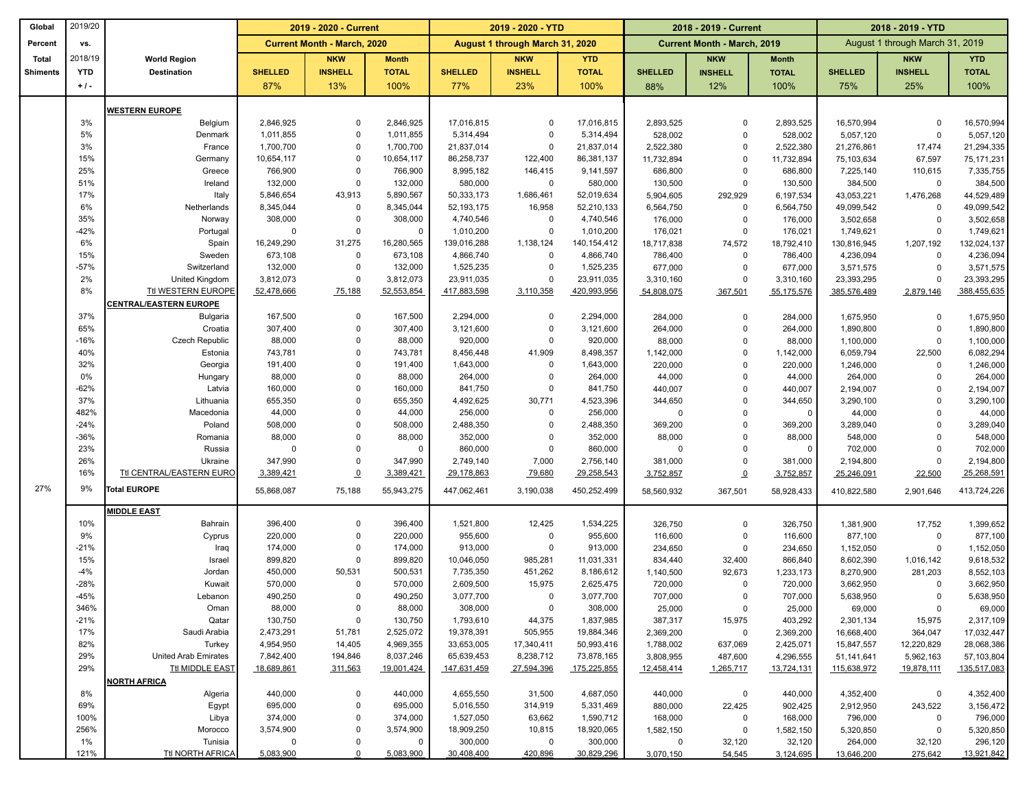| Global          | 2019/20      |                               | 2019 - 2020 - Current              |                            |                         | 2019 - 2020 - YTD               |                            |                          | 2018 - 2019 - Current              |                            | 2018 - 2019 - YTD       |                                 |                    |                          |
|-----------------|--------------|-------------------------------|------------------------------------|----------------------------|-------------------------|---------------------------------|----------------------------|--------------------------|------------------------------------|----------------------------|-------------------------|---------------------------------|--------------------|--------------------------|
| Percent         | VS.          |                               | <b>Current Month - March, 2020</b> |                            |                         | August 1 through March 31, 2020 |                            |                          | <b>Current Month - March, 2019</b> |                            |                         | August 1 through March 31, 2019 |                    |                          |
| <b>Total</b>    | 2018/19      | <b>World Region</b>           |                                    | <b>NKW</b>                 | <b>Month</b>            |                                 | <b>NKW</b>                 | <b>YTD</b>               |                                    | <b>NKW</b>                 | <b>Month</b>            |                                 | <b>NKW</b>         | <b>YTD</b>               |
| <b>Shiments</b> | <b>YTD</b>   | <b>Destination</b>            | <b>SHELLED</b>                     | <b>INSHELL</b>             | <b>TOTAL</b>            | <b>SHELLED</b>                  | <b>INSHELL</b>             | <b>TOTAL</b>             | <b>SHELLED</b>                     | <b>INSHELL</b>             | <b>TOTAL</b>            | <b>SHELLED</b>                  | <b>INSHELL</b>     | <b>TOTAL</b>             |
|                 | $+1$ .       |                               | 87%                                | 13%                        | 100%                    | 77%                             | 23%                        | 100%                     | 88%                                | 12%                        | 100%                    | 75%                             | 25%                | 100%                     |
|                 |              |                               |                                    |                            |                         |                                 |                            |                          |                                    |                            |                         |                                 |                    |                          |
|                 |              | <b>WESTERN EUROPE</b>         |                                    |                            |                         |                                 |                            |                          |                                    |                            |                         |                                 |                    |                          |
|                 | 3%           | Belgium                       | 2,846,925                          | $\mathbf 0$                | 2,846,925               | 17,016,815                      | $\mathbf 0$                | 17,016,815               | 2,893,525                          | $\mathbf 0$                | 2,893,525               | 16,570,994                      | $\Omega$           | 16,570,994               |
|                 | 5%           | Denmark                       | 1,011,855                          | $\Omega$<br>$\Omega$       | 1,011,855               | 5,314,494                       | $\mathbf 0$                | 5,314,494                | 528,002                            | $\Omega$<br>$\Omega$       | 528,002                 | 5,057,120                       | $\Omega$           | 5,057,120                |
|                 | 3%<br>15%    | France<br>Germany             | 1,700,700<br>10,654,117            | $\Omega$                   | 1,700,700<br>10,654,117 | 21,837,014<br>86,258,737        | $\mathbf 0$<br>122,400     | 21,837,014<br>86,381,137 | 2,522,380<br>11,732,894            | $\mathbf 0$                | 2,522,380<br>11,732,894 | 21,276,861<br>75,103,634        | 17,474<br>67,597   | 21,294,335<br>75,171,231 |
|                 | 25%          | Greece                        | 766,900                            | $\Omega$                   | 766,900                 | 8,995,182                       | 146,415                    | 9,141,597                | 686,800                            | $\mathbf 0$                | 686,800                 | 7,225,140                       | 110,615            | 7,335,755                |
|                 | 51%          | Ireland                       | 132,000                            | $\Omega$                   | 132,000                 | 580,000                         | $\mathbf 0$                | 580,000                  | 130,500                            | $\mathbf 0$                | 130,500                 | 384,500                         | $\mathbf 0$        | 384,500                  |
|                 | 17%          | Italy                         | 5,846,654                          | 43,913                     | 5,890,567               | 50,333,173                      | 1,686,461                  | 52,019,634               | 5,904,605                          | 292,929                    | 6,197,534               | 43,053,221                      | 1,476,268          | 44,529,489               |
|                 | 6%           | Netherlands                   | 8,345,044                          | $\mathbf 0$                | 8,345,044               | 52, 193, 175                    | 16,958                     | 52,210,133               | 6,564,750                          | $\mathbf 0$                | 6,564,750               | 49,099,542                      | $\Omega$           | 49,099,542               |
|                 | 35%          | Norway                        | 308,000                            | $\Omega$                   | 308,000                 | 4,740,546                       | $\mathbf 0$                | 4,740,546                | 176,000                            | $\mathbf 0$                | 176,000                 | 3,502,658                       | $\Omega$           | 3,502,658                |
|                 | $-42%$       | Portugal                      | $\mathbf 0$                        | $\mathbf 0$                | $\mathsf{O}$            | 1,010,200                       | $\mathbf 0$                | 1,010,200                | 176,021                            | $\mathbf 0$                | 176,021                 | 1,749,621                       | $\Omega$           | 1,749,621                |
|                 | 6%           | Spain                         | 16,249,290                         | 31,275                     | 16,280,565              | 139,016,288                     | 1,138,124                  | 140, 154, 412            | 18,717,838                         | 74,572                     | 18,792,410              | 130,816,945                     | 1,207,192          | 132,024,137              |
|                 | 15%          | Sweden                        | 673,108                            | $\mathbf 0$                | 673,108                 | 4,866,740                       | $\mathbf 0$                | 4,866,740                | 786,400                            | $\mathbf 0$                | 786,400                 | 4,236,094                       | $\Omega$           | 4,236,094                |
|                 | $-57%$       | Switzerland                   | 132,000                            | $\Omega$                   | 132,000                 | 1,525,235                       | $\mathbf 0$                | 1,525,235                | 677,000                            | $\mathbf 0$                | 677,000                 | 3,571,575                       | $\Omega$           | 3,571,575                |
|                 | 2%           | United Kingdom                | 3,812,073                          | $\mathbf 0$                | 3,812,073               | 23,911,035                      | 0                          | 23,911,035               | 3,310,160                          | $\Omega$                   | 3,310,160               | 23,393,295                      | $\Omega$           | 23,393,295               |
|                 | 8%           | Ttl WESTERN EUROPE            | 52,478,666                         | 75,188                     | 52,553,854              | 417,883,598                     | 3,110,358                  | 420,993,956              | 54,808,075                         | 367,501                    | 55,175,576              | 385,576,489                     | 2,879,146          | 388,455,635              |
|                 |              | <b>CENTRAL/EASTERN EUROPE</b> |                                    |                            |                         |                                 |                            |                          |                                    |                            |                         |                                 |                    |                          |
|                 | 37%          | Bulgaria                      | 167,500                            | $\mathbf 0$                | 167,500                 | 2,294,000                       | 0                          | 2,294,000                | 284,000                            | 0                          | 284,000                 | 1,675,950                       | $\mathbf 0$        | 1,675,950                |
|                 | 65%          | Croatia                       | 307,400                            | $\Omega$                   | 307,400                 | 3,121,600                       | $\mathsf 0$                | 3,121,600                | 264,000                            | $\mathsf 0$                | 264,000                 | 1,890,800                       | $\Omega$           | 1,890,800                |
|                 | -16%         | <b>Czech Republic</b>         | 88,000                             | $\Omega$                   | 88,000                  | 920,000                         | $\mathbf 0$                | 920,000                  | 88,000                             | $\mathbf 0$                | 88,000                  | 1,100,000                       | $\Omega$           | 1,100,000                |
|                 | 40%<br>32%   | Estonia                       | 743,781                            | $\Omega$<br>$\Omega$       | 743,781                 | 8,456,448                       | 41,909                     | 8,498,357                | 1,142,000                          | $\mathbf 0$<br>$\mathbf 0$ | 1,142,000               | 6,059,794                       | 22,500<br>$\Omega$ | 6,082,294                |
|                 | 0%           | Georgia<br>Hungary            | 191,400<br>88,000                  | $\Omega$                   | 191,400<br>88,000       | 1,643,000<br>264,000            | $\mathbf 0$<br>$\mathbf 0$ | 1,643,000<br>264,000     | 220,000<br>44,000                  | $\Omega$                   | 220,000<br>44,000       | 1,246,000<br>264,000            | $\Omega$           | 1,246,000<br>264,000     |
|                 | $-62%$       | Latvia                        | 160,000                            | $\Omega$                   | 160,000                 | 841,750                         | $\mathbf 0$                | 841,750                  | 440,007                            | $\Omega$                   | 440,007                 | 2,194,007                       | $\Omega$           | 2,194,007                |
|                 | 37%          | Lithuania                     | 655,350                            | $\Omega$                   | 655,350                 | 4,492,625                       | 30,771                     | 4,523,396                | 344,650                            | $\Omega$                   | 344,650                 | 3,290,100                       | $\Omega$           | 3,290,100                |
|                 | 482%         | Macedonia                     | 44,000                             | $\Omega$                   | 44,000                  | 256,000                         | $\mathbf 0$                | 256,000                  | $\mathbf 0$                        | $\Omega$                   | 0                       | 44,000                          | $\Omega$           | 44,000                   |
|                 | $-24%$       | Poland                        | 508,000                            | $\Omega$                   | 508,000                 | 2,488,350                       | $\mathbf 0$                | 2,488,350                | 369,200                            | $\mathbf 0$                | 369,200                 | 3,289,040                       | $\Omega$           | 3,289,040                |
|                 | -36%         | Romania                       | 88,000                             | $\Omega$                   | 88,000                  | 352,000                         | $\mathbf 0$                | 352,000                  | 88,000                             | $\mathbf 0$                | 88,000                  | 548,000                         | $\Omega$           | 548,000                  |
|                 | 23%          | Russia                        | $\overline{0}$                     | $\Omega$                   | $\mathsf{O}$            | 860,000                         | $\mathbf 0$                | 860,000                  | $\mathbf 0$                        | $\Omega$                   | 0                       | 702,000                         | $\Omega$           | 702,000                  |
|                 | 26%          | Ukraine                       | 347,990                            | $\Omega$                   | 347,990                 | 2,749,140                       | 7,000                      | 2,756,140                | 381,000                            | $\mathsf 0$                | 381,000                 | 2,194,800                       | $\Omega$           | 2,194,800                |
|                 | 16%          | Ttl CENTRAL/EASTERN EURO      | 3,389,421                          | $\underline{\mathbf{0}}$   | 3,389,421               | 29,178,863                      | 79,680                     | 29,258,543               | 3,752,857                          | $\overline{0}$             | 3,752,857               | 25,246,091                      | 22,500             | 25,268,591               |
| 27%             | 9%           | <b>Total EUROPE</b>           | 55,868,087                         | 75,188                     | 55,943,275              | 447,062,461                     | 3,190,038                  | 450,252,499              | 58,560,932                         | 367,501                    | 58,928,433              | 410,822,580                     | 2,901,646          | 413,724,226              |
|                 |              |                               |                                    |                            |                         |                                 |                            |                          |                                    |                            |                         |                                 |                    |                          |
|                 | 10%          | <b>MIDDLE EAST</b><br>Bahrain | 396,400                            | $\Omega$                   | 396,400                 | 1,521,800                       | 12,425                     | 1,534,225                | 326,750                            | $\mathbf 0$                | 326,750                 | 1,381,900                       | 17,752             | 1,399,652                |
|                 | 9%           | Cyprus                        | 220,000                            | $\Omega$                   | 220,000                 | 955,600                         | $\mathbf 0$                | 955,600                  | 116,600                            | $\mathbf 0$                | 116,600                 | 877,100                         | $\Omega$           | 877,100                  |
|                 | $-21%$       | Iraq                          | 174,000                            | $\Omega$                   | 174,000                 | 913,000                         | $\mathbf 0$                | 913,000                  | 234,650                            | $\mathbf 0$                | 234,650                 | 1,152,050                       | $\Omega$           | 1,152,050                |
|                 | 15%          | Israel                        | 899,820                            | $\Omega$                   | 899,820                 | 10,046,050                      | 985,281                    | 11,031,331               | 834,440                            | 32,400                     | 866,840                 | 8,602,390                       | 1,016,142          | 9,618,532                |
|                 | $-4%$        | Jordan                        | 450,000                            | 50,531                     | 500,531                 | 7,735,350                       | 451,262                    | 8,186,612                | 1,140,500                          | 92,673                     | 1,233,173               | 8,270,900                       | 281,203            | 8,552,103                |
|                 | $-28%$       | Kuwait                        | 570,000                            | $\Omega$                   | 570,000                 | 2,609,500                       | 15,975                     | 2,625,475                | 720,000                            | $\Omega$                   | 720,000                 | 3,662,950                       | $\Omega$           | 3,662,950                |
|                 | $-45%$       | Lebanon                       | 490,250                            | $\Omega$                   | 490,250                 | 3,077,700                       | $\mathbf 0$                | 3,077,700                | 707,000                            | $\mathbf 0$                | 707,000                 | 5,638,950                       | $\Omega$           | 5,638,950                |
|                 | 346%         | Oman                          | 88,000                             | 0                          | 88,000                  | 308,000                         | 0                          | 308,000                  | 25,000                             | $\mathbf 0$                | 25,000                  | 69,000                          | 0                  | 69,000                   |
|                 | $-21%$       | Qatar                         | 130,750                            | $\mathbf 0$                | 130,750                 | 1,793,610                       | 44,375                     | 1,837,985                | 387,317                            | 15,975                     | 403,292                 | 2,301,134                       | 15,975             | 2,317,109                |
|                 | 17%          | Saudi Arabia                  | 2,473,291                          | 51,781                     | 2,525,072               | 19,378,391                      | 505,955                    | 19,884,346               | 2,369,200                          | 0                          | 2,369,200               | 16,668,400                      | 364,047            | 17,032,447               |
|                 | 82%          | Turkey                        | 4,954,950                          | 14,405                     | 4,969,355               | 33,653,005                      | 17,340,411                 | 50,993,416               | 1,788,002                          | 637,069                    | 2,425,071               | 15,847,557                      | 12,220,829         | 28,068,386               |
|                 | 29%          | United Arab Emirates          | 7,842,400                          | 194,846                    | 8,037,246               | 65,639,453                      | 8,238,712                  | 73,878,165               | 3,808,955                          | 487,600                    | 4,296,555               | 51,141,641                      | 5,962,163          | 57,103,804               |
|                 | 29%          | Ttl MIDDLE EAST               | 18,689,861                         | 311,563                    | 19,001,424              | 147,631,459                     | 27,594,396                 | 175,225,855              | 12,458,414                         | 1,265,717                  | 13,724,131              | 115,638,972                     | 19,878,111         | 135,517,083              |
|                 |              | NORTH AFRICA                  |                                    |                            |                         |                                 |                            |                          |                                    |                            |                         |                                 |                    |                          |
|                 | 8%           | Algeria                       | 440,000                            | $\mathbf 0$                | 440,000                 | 4,655,550                       | 31,500                     | 4,687,050                | 440,000                            | $\mathbf 0$                | 440,000                 | 4,352,400                       | 0                  | 4,352,400                |
|                 | 69%          | Egypt                         | 695,000                            | $\mathbf 0$                | 695,000                 | 5,016,550                       | 314,919                    | 5,331,469                | 880,000                            | 22,425                     | 902,425                 | 2,912,950                       | 243,522            | 3,156,472                |
|                 | 100%<br>256% | Libya                         | 374,000<br>3,574,900               | $\mathbf 0$<br>$\mathbf 0$ | 374,000<br>3,574,900    | 1,527,050<br>18,909,250         | 63,662                     | 1,590,712                | 168,000                            | 0                          | 168,000                 | 796,000                         | 0                  | 796,000                  |
|                 | 1%           | Morocco<br>Tunisia            | 0                                  | $\mathbf 0$                | 0                       | 300,000                         | 10,815<br>$\mathbf 0$      | 18,920,065<br>300,000    | 1,582,150<br>0                     | 0<br>32,120                | 1,582,150<br>32,120     | 5,320,850<br>264,000            | 0<br>32,120        | 5,320,850<br>296,120     |
|                 | 121%         | <b>Ttl NORTH AFRICA</b>       | 5,083,900                          |                            | 5,083,900               | 30,408,400                      | 420,896                    | 30,829,296               | 3,070,150                          | 54,545                     | 3,124,695               | 13,646,200                      | 275,642            | 13,921,842               |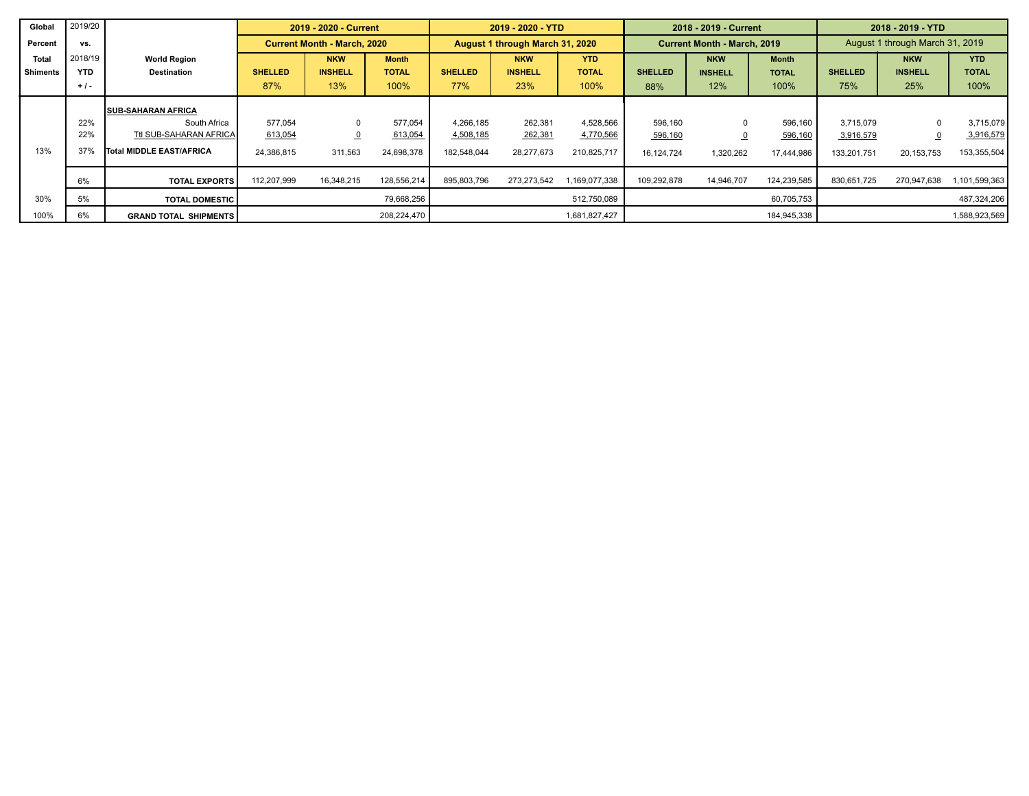| Global          | 2019/20    |                              |                | 2019 - 2020 - Current              |              |                | 2019 - 2020 - YTD               |               |                | 2018 - 2019 - Current              |              | 2018 - 2019 - YTD               |                |               |
|-----------------|------------|------------------------------|----------------|------------------------------------|--------------|----------------|---------------------------------|---------------|----------------|------------------------------------|--------------|---------------------------------|----------------|---------------|
| Percent         | VS.        |                              |                | <b>Current Month - March, 2020</b> |              |                | August 1 through March 31, 2020 |               |                | <b>Current Month - March, 2019</b> |              | August 1 through March 31, 2019 |                |               |
| Total           | 2018/19    | <b>World Region</b>          |                | <b>NKW</b>                         | <b>Month</b> |                | <b>NKW</b>                      | <b>YTD</b>    |                | <b>NKW</b>                         | <b>Month</b> |                                 | <b>NKW</b>     | <b>YTD</b>    |
| <b>Shiments</b> | <b>YTD</b> | <b>Destination</b>           | <b>SHELLED</b> | <b>INSHELL</b>                     | <b>TOTAL</b> | <b>SHELLED</b> | <b>INSHELL</b>                  | <b>TOTAL</b>  | <b>SHELLED</b> | <b>INSHELL</b>                     | <b>TOTAL</b> | <b>SHELLED</b>                  | <b>INSHELL</b> | <b>TOTAL</b>  |
|                 | $+1$ .     |                              | 87%            | 13%                                | 100%         | 77%            | 23%                             | 100%          | 88%            | 12%                                | 100%         | 75%                             | 25%            | 100%          |
|                 |            | <b>SUB-SAHARAN AFRICA</b>    |                |                                    |              |                |                                 |               |                |                                    |              |                                 |                |               |
|                 | 22%        | South Africa                 | 577.054        | $\mathbf 0$                        | 577.054      | 4.266.185      | 262,381                         | 4,528,566     | 596,160        | $\Omega$                           | 596,160      | 3.715.079                       | $\Omega$       | 3,715,079     |
|                 | 22%        | Ttl SUB-SAHARAN AFRICA       | 613,054        | $\overline{0}$                     | 613,054      | 4,508,185      | 262,381                         | 4,770,566     | 596,160        |                                    | 596,160      | 3,916,579                       |                | 3,916,579     |
| 13%             | 37%        | Total MIDDLE EAST/AFRICA     | 24,386,815     | 311,563                            | 24,698,378   | 182,548,044    | 28,277,673                      | 210,825,717   | 16,124,724     | 1,320,262                          | 17,444,986   | 133,201,751                     | 20, 153, 753   | 153,355,504   |
|                 | 6%         | <b>TOTAL EXPORTS</b>         | 112,207,999    | 16,348,215                         | 128,556,214  | 895,803,796    | 273,273,542                     | ,169,077,338  | 109,292,878    | 14,946,707                         | 124,239,585  | 830,651,725                     | 270,947,638    | 1,101,599,363 |
| 30%             | 5%         | <b>TOTAL DOMESTIC</b>        |                |                                    | 79,668,256   |                |                                 | 512,750,089   |                |                                    | 60,705,753   |                                 |                | 487,324,206   |
| 100%            | 6%         | <b>GRAND TOTAL SHIPMENTS</b> |                |                                    | 208,224,470  |                |                                 | 1,681,827,427 |                |                                    | 184,945,338  |                                 |                | 1,588,923,569 |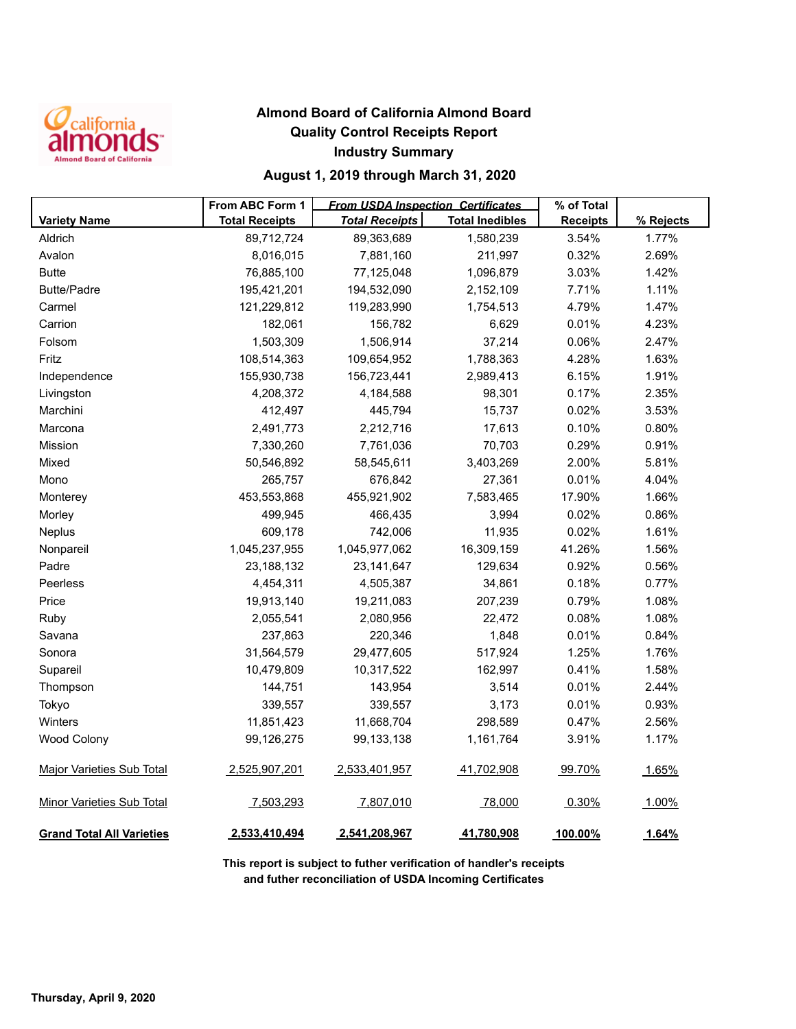

## **Almond Board of California Almond Board Quality Control Receipts Report Industry Summary**

## **August 1, 2019 through March 31, 2020**

|                                  | From ABC Form 1       | <b>From USDA Inspection Certificates</b> |                        | % of Total      |           |
|----------------------------------|-----------------------|------------------------------------------|------------------------|-----------------|-----------|
| <b>Variety Name</b>              | <b>Total Receipts</b> | <b>Total Receipts</b>                    | <b>Total Inedibles</b> | <b>Receipts</b> | % Rejects |
| Aldrich                          | 89,712,724            | 89,363,689                               | 1,580,239              | 3.54%           | 1.77%     |
| Avalon                           | 8,016,015             | 7,881,160                                | 211,997                | 0.32%           | 2.69%     |
| <b>Butte</b>                     | 76,885,100            | 77,125,048                               | 1,096,879              | 3.03%           | 1.42%     |
| <b>Butte/Padre</b>               | 195,421,201           | 194,532,090                              | 2,152,109              | 7.71%           | 1.11%     |
| Carmel                           | 121,229,812           | 119,283,990                              | 1,754,513              | 4.79%           | 1.47%     |
| Carrion                          | 182,061               | 156,782                                  | 6,629                  | 0.01%           | 4.23%     |
| Folsom                           | 1,503,309             | 1,506,914                                | 37,214                 | 0.06%           | 2.47%     |
| Fritz                            | 108,514,363           | 109,654,952                              | 1,788,363              | 4.28%           | 1.63%     |
| Independence                     | 155,930,738           | 156,723,441                              | 2,989,413              | 6.15%           | 1.91%     |
| Livingston                       | 4,208,372             | 4,184,588                                | 98,301                 | 0.17%           | 2.35%     |
| Marchini                         | 412,497               | 445,794                                  | 15,737                 | 0.02%           | 3.53%     |
| Marcona                          | 2,491,773             | 2,212,716                                | 17,613                 | 0.10%           | 0.80%     |
| <b>Mission</b>                   | 7,330,260             | 7,761,036                                | 70,703                 | 0.29%           | 0.91%     |
| Mixed                            | 50,546,892            | 58,545,611                               | 3,403,269              | 2.00%           | 5.81%     |
| Mono                             | 265,757               | 676,842                                  | 27,361                 | 0.01%           | 4.04%     |
| Monterey                         | 453,553,868           | 455,921,902                              | 7,583,465              | 17.90%          | 1.66%     |
| Morley                           | 499,945               | 466,435                                  | 3,994                  | 0.02%           | 0.86%     |
| Neplus                           | 609,178               | 742,006                                  | 11,935                 | 0.02%           | 1.61%     |
| Nonpareil                        | 1,045,237,955         | 1,045,977,062                            | 16,309,159             | 41.26%          | 1.56%     |
| Padre                            | 23,188,132            | 23, 141, 647                             | 129,634                | 0.92%           | 0.56%     |
| Peerless                         | 4,454,311             | 4,505,387                                | 34,861                 | 0.18%           | 0.77%     |
| Price                            | 19,913,140            | 19,211,083                               | 207,239                | 0.79%           | 1.08%     |
| Ruby                             | 2,055,541             | 2,080,956                                | 22,472                 | 0.08%           | 1.08%     |
| Savana                           | 237,863               | 220,346                                  | 1,848                  | 0.01%           | 0.84%     |
| Sonora                           | 31,564,579            | 29,477,605                               | 517,924                | 1.25%           | 1.76%     |
| Supareil                         | 10,479,809            | 10,317,522                               | 162,997                | 0.41%           | 1.58%     |
| Thompson                         | 144,751               | 143,954                                  | 3,514                  | 0.01%           | 2.44%     |
| Tokyo                            | 339,557               | 339,557                                  | 3,173                  | 0.01%           | 0.93%     |
| Winters                          | 11,851,423            | 11,668,704                               | 298,589                | 0.47%           | 2.56%     |
| <b>Wood Colony</b>               | 99,126,275            | 99,133,138                               | 1,161,764              | 3.91%           | 1.17%     |
| <b>Major Varieties Sub Total</b> | 2,525,907,201         | 2,533,401,957                            | 41,702,908             | 99.70%          | 1.65%     |
| Minor Varieties Sub Total        | 7,503,293             | 7,807,010                                | 78,000                 | 0.30%           | 1.00%     |
| <b>Grand Total All Varieties</b> | 2,533,410,494         | 2,541,208,967                            | 41,780,908             | 100.00%         | 1.64%     |

**This report is subject to futher verification of handler's receipts and futher reconciliation of USDA Incoming Certificates**